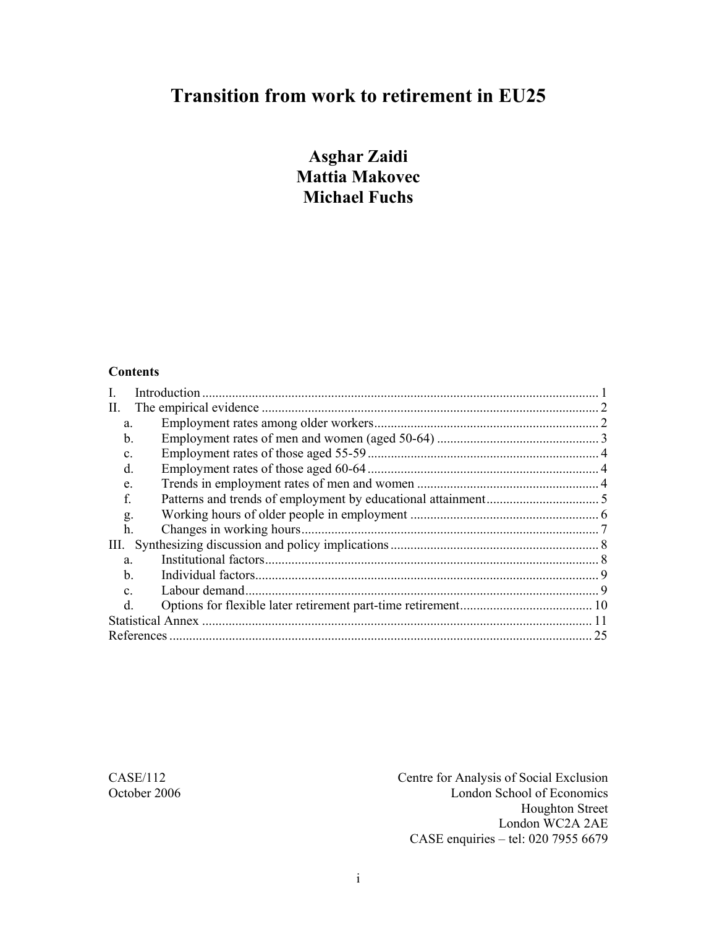# **Transition from work to retirement in EU25**

**Asghar Zaidi Mattia Makovec Michael Fuchs** 

#### **Contents**

| П.             |    |
|----------------|----|
| a.             |    |
| b.             |    |
| $\mathbf{C}$ . |    |
| d.             |    |
| e.             |    |
| f.             |    |
| g.             |    |
| h.             |    |
| III.           |    |
| a.             |    |
| b.             |    |
| $\mathbf{c}$   |    |
| <sub>d</sub>   |    |
|                |    |
|                | 25 |

CASE/112 Centre for Analysis of Social Exclusion London School of Economics Houghton Street London WC2A 2AE CASE enquiries – tel: 020 7955 6679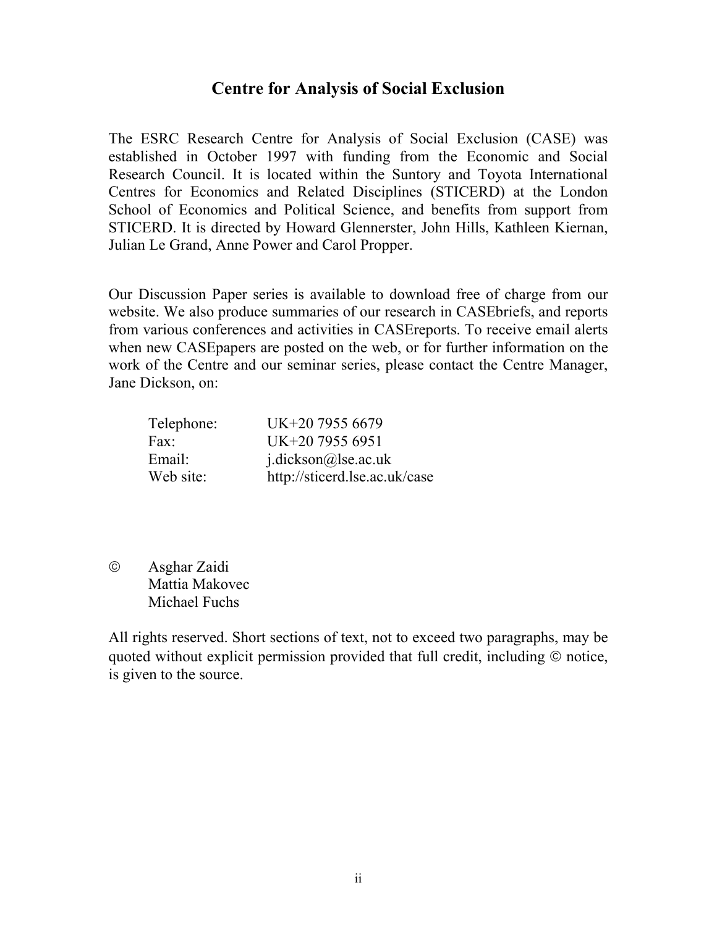#### **Centre for Analysis of Social Exclusion**

The ESRC Research Centre for Analysis of Social Exclusion (CASE) was established in October 1997 with funding from the Economic and Social Research Council. It is located within the Suntory and Toyota International Centres for Economics and Related Disciplines (STICERD) at the London School of Economics and Political Science, and benefits from support from STICERD. It is directed by Howard Glennerster, John Hills, Kathleen Kiernan, Julian Le Grand, Anne Power and Carol Propper.

Our Discussion Paper series is available to download free of charge from our website. We also produce summaries of our research in CASEbriefs, and reports from various conferences and activities in CASEreports. To receive email alerts when new CASEpapers are posted on the web, or for further information on the work of the Centre and our seminar series, please contact the Centre Manager, Jane Dickson, on:

| Telephone: | UK+20 7955 6679               |
|------------|-------------------------------|
| Fax:       | UK+20 7955 6951               |
| Email:     | $j$ .dickson@lse.ac.uk        |
| Web site:  | http://sticerd.lse.ac.uk/case |

© Asghar Zaidi Mattia Makovec Michael Fuchs

All rights reserved. Short sections of text, not to exceed two paragraphs, may be quoted without explicit permission provided that full credit, including © notice, is given to the source.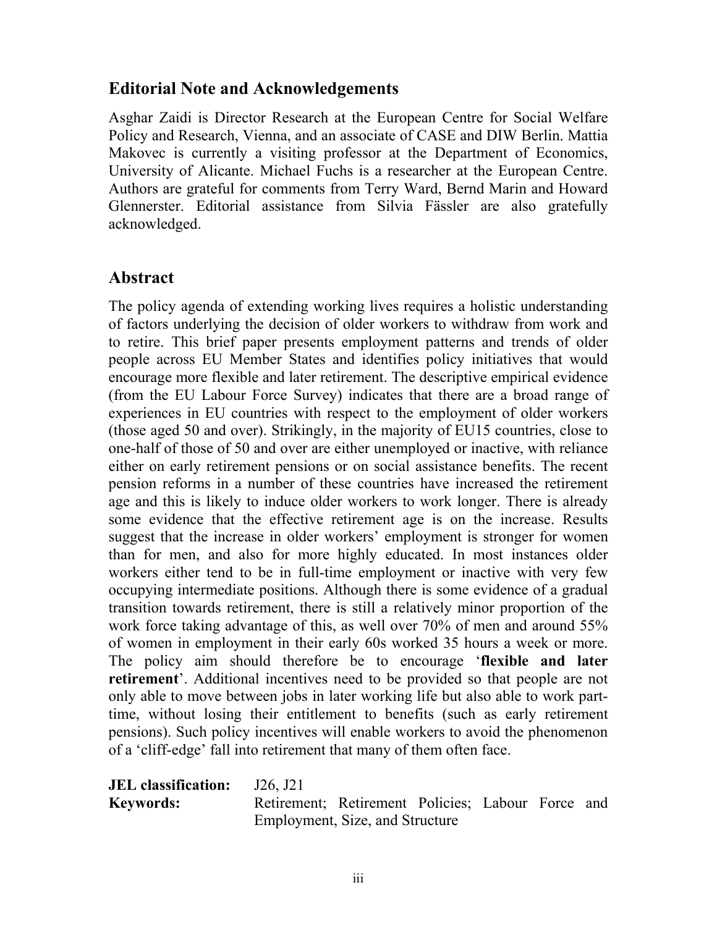### **Editorial Note and Acknowledgements**

Asghar Zaidi is Director Research at the European Centre for Social Welfare Policy and Research, Vienna, and an associate of CASE and DIW Berlin. Mattia Makovec is currently a visiting professor at the Department of Economics, University of Alicante. Michael Fuchs is a researcher at the European Centre. Authors are grateful for comments from Terry Ward, Bernd Marin and Howard Glennerster. Editorial assistance from Silvia Fässler are also gratefully acknowledged.

### **Abstract**

The policy agenda of extending working lives requires a holistic understanding of factors underlying the decision of older workers to withdraw from work and to retire. This brief paper presents employment patterns and trends of older people across EU Member States and identifies policy initiatives that would encourage more flexible and later retirement. The descriptive empirical evidence (from the EU Labour Force Survey) indicates that there are a broad range of experiences in EU countries with respect to the employment of older workers (those aged 50 and over). Strikingly, in the majority of EU15 countries, close to one-half of those of 50 and over are either unemployed or inactive, with reliance either on early retirement pensions or on social assistance benefits. The recent pension reforms in a number of these countries have increased the retirement age and this is likely to induce older workers to work longer. There is already some evidence that the effective retirement age is on the increase. Results suggest that the increase in older workers' employment is stronger for women than for men, and also for more highly educated. In most instances older workers either tend to be in full-time employment or inactive with very few occupying intermediate positions. Although there is some evidence of a gradual transition towards retirement, there is still a relatively minor proportion of the work force taking advantage of this, as well over 70% of men and around 55% of women in employment in their early 60s worked 35 hours a week or more. The policy aim should therefore be to encourage '**flexible and later retirement**'. Additional incentives need to be provided so that people are not only able to move between jobs in later working life but also able to work parttime, without losing their entitlement to benefits (such as early retirement pensions). Such policy incentives will enable workers to avoid the phenomenon of a 'cliff-edge' fall into retirement that many of them often face.

**JEL classification:** J26, J21 **Keywords:** Retirement; Retirement Policies; Labour Force and Employment, Size, and Structure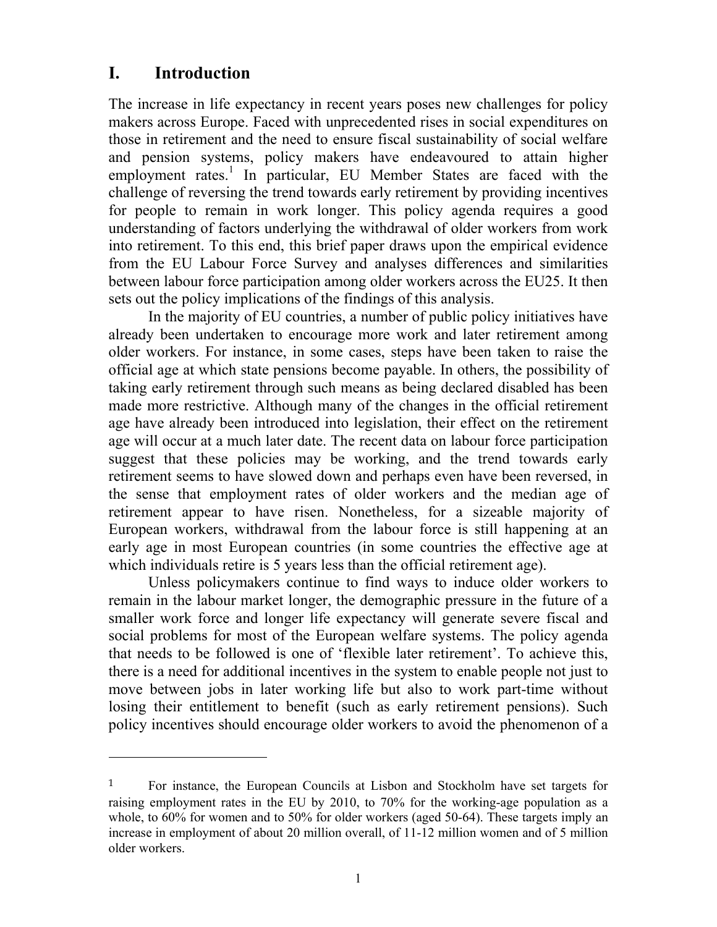### **I. Introduction**

The increase in life expectancy in recent years poses new challenges for policy makers across Europe. Faced with unprecedented rises in social expenditures on those in retirement and the need to ensure fiscal sustainability of social welfare and pension systems, policy makers have endeavoured to attain higher employment rates.<sup>1</sup> In particular, EU Member States are faced with the challenge of reversing the trend towards early retirement by providing incentives for people to remain in work longer. This policy agenda requires a good understanding of factors underlying the withdrawal of older workers from work into retirement. To this end, this brief paper draws upon the empirical evidence from the EU Labour Force Survey and analyses differences and similarities between labour force participation among older workers across the EU25. It then sets out the policy implications of the findings of this analysis.

In the majority of EU countries, a number of public policy initiatives have already been undertaken to encourage more work and later retirement among older workers. For instance, in some cases, steps have been taken to raise the official age at which state pensions become payable. In others, the possibility of taking early retirement through such means as being declared disabled has been made more restrictive. Although many of the changes in the official retirement age have already been introduced into legislation, their effect on the retirement age will occur at a much later date. The recent data on labour force participation suggest that these policies may be working, and the trend towards early retirement seems to have slowed down and perhaps even have been reversed, in the sense that employment rates of older workers and the median age of retirement appear to have risen. Nonetheless, for a sizeable majority of European workers, withdrawal from the labour force is still happening at an early age in most European countries (in some countries the effective age at which individuals retire is 5 years less than the official retirement age).

Unless policymakers continue to find ways to induce older workers to remain in the labour market longer, the demographic pressure in the future of a smaller work force and longer life expectancy will generate severe fiscal and social problems for most of the European welfare systems. The policy agenda that needs to be followed is one of 'flexible later retirement'. To achieve this, there is a need for additional incentives in the system to enable people not just to move between jobs in later working life but also to work part-time without losing their entitlement to benefit (such as early retirement pensions). Such policy incentives should encourage older workers to avoid the phenomenon of a

<sup>1</sup> For instance, the European Councils at Lisbon and Stockholm have set targets for raising employment rates in the EU by 2010, to 70% for the working-age population as a whole, to 60% for women and to 50% for older workers (aged 50-64). These targets imply an increase in employment of about 20 million overall, of 11-12 million women and of 5 million older workers.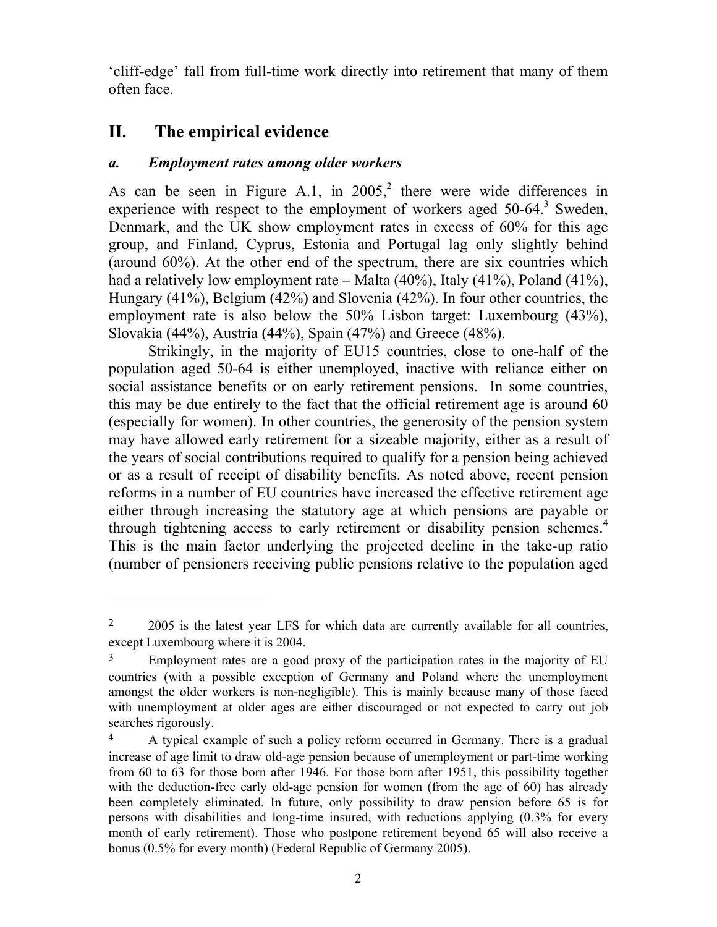'cliff-edge' fall from full-time work directly into retirement that many of them often face.

### **II. The empirical evidence**

 $\overline{a}$ 

#### *a. Employment rates among older workers*

As can be seen in Figure A.1, in  $2005<sup>2</sup>$ , there were wide differences in experience with respect to the employment of workers aged  $50-64$ .<sup>3</sup> Sweden, Denmark, and the UK show employment rates in excess of 60% for this age group, and Finland, Cyprus, Estonia and Portugal lag only slightly behind (around 60%). At the other end of the spectrum, there are six countries which had a relatively low employment rate – Malta (40%), Italy (41%), Poland (41%), Hungary (41%), Belgium (42%) and Slovenia (42%). In four other countries, the employment rate is also below the 50% Lisbon target: Luxembourg (43%), Slovakia (44%), Austria (44%), Spain (47%) and Greece (48%).

Strikingly, in the majority of EU15 countries, close to one-half of the population aged 50-64 is either unemployed, inactive with reliance either on social assistance benefits or on early retirement pensions. In some countries, this may be due entirely to the fact that the official retirement age is around 60 (especially for women). In other countries, the generosity of the pension system may have allowed early retirement for a sizeable majority, either as a result of the years of social contributions required to qualify for a pension being achieved or as a result of receipt of disability benefits. As noted above, recent pension reforms in a number of EU countries have increased the effective retirement age either through increasing the statutory age at which pensions are payable or through tightening access to early retirement or disability pension schemes.<sup>4</sup> This is the main factor underlying the projected decline in the take-up ratio (number of pensioners receiving public pensions relative to the population aged

<sup>&</sup>lt;sup>2</sup> 2005 is the latest year LFS for which data are currently available for all countries, except Luxembourg where it is 2004.

<sup>&</sup>lt;sup>3</sup> Employment rates are a good proxy of the participation rates in the majority of EU countries (with a possible exception of Germany and Poland where the unemployment amongst the older workers is non-negligible). This is mainly because many of those faced with unemployment at older ages are either discouraged or not expected to carry out job searches rigorously.

<sup>4</sup> A typical example of such a policy reform occurred in Germany. There is a gradual increase of age limit to draw old-age pension because of unemployment or part-time working from 60 to 63 for those born after 1946. For those born after 1951, this possibility together with the deduction-free early old-age pension for women (from the age of 60) has already been completely eliminated. In future, only possibility to draw pension before 65 is for persons with disabilities and long-time insured, with reductions applying (0.3% for every month of early retirement). Those who postpone retirement beyond 65 will also receive a bonus (0.5% for every month) (Federal Republic of Germany 2005).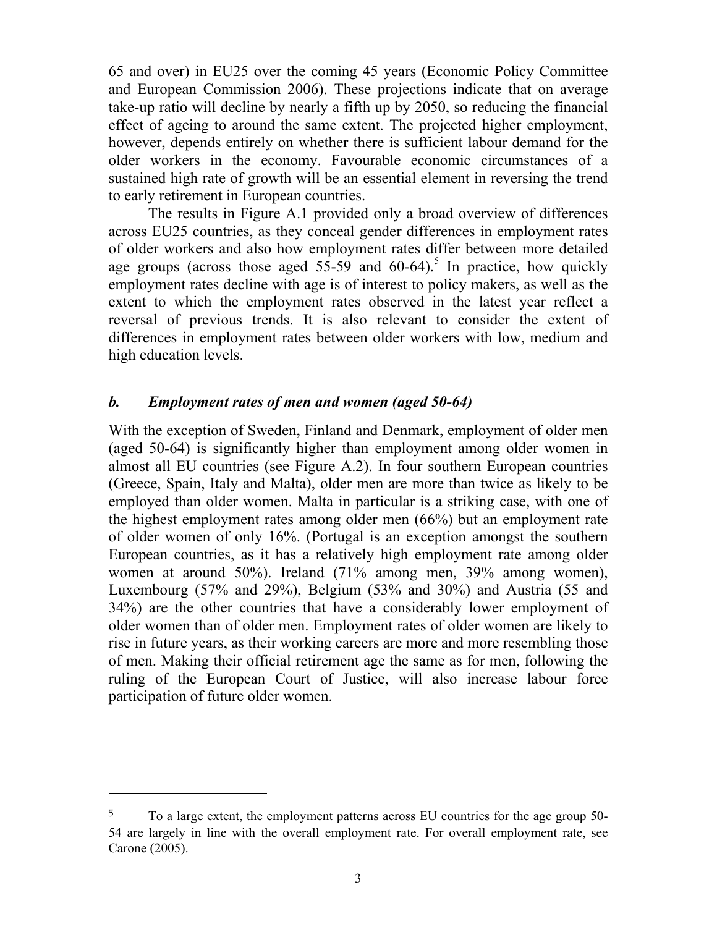65 and over) in EU25 over the coming 45 years (Economic Policy Committee and European Commission 2006). These projections indicate that on average take-up ratio will decline by nearly a fifth up by 2050, so reducing the financial effect of ageing to around the same extent. The projected higher employment, however, depends entirely on whether there is sufficient labour demand for the older workers in the economy. Favourable economic circumstances of a sustained high rate of growth will be an essential element in reversing the trend to early retirement in European countries.

The results in Figure A.1 provided only a broad overview of differences across EU25 countries, as they conceal gender differences in employment rates of older workers and also how employment rates differ between more detailed age groups (across those aged  $55-59$  and  $60-64$ ).<sup>5</sup> In practice, how quickly employment rates decline with age is of interest to policy makers, as well as the extent to which the employment rates observed in the latest year reflect a reversal of previous trends. It is also relevant to consider the extent of differences in employment rates between older workers with low, medium and high education levels.

#### *b. Employment rates of men and women (aged 50-64)*

With the exception of Sweden, Finland and Denmark, employment of older men (aged 50-64) is significantly higher than employment among older women in almost all EU countries (see Figure A.2). In four southern European countries (Greece, Spain, Italy and Malta), older men are more than twice as likely to be employed than older women. Malta in particular is a striking case, with one of the highest employment rates among older men (66%) but an employment rate of older women of only 16%. (Portugal is an exception amongst the southern European countries, as it has a relatively high employment rate among older women at around 50%). Ireland (71% among men, 39% among women), Luxembourg (57% and 29%), Belgium (53% and 30%) and Austria (55 and 34%) are the other countries that have a considerably lower employment of older women than of older men. Employment rates of older women are likely to rise in future years, as their working careers are more and more resembling those of men. Making their official retirement age the same as for men, following the ruling of the European Court of Justice, will also increase labour force participation of future older women.

 $\overline{a}$ 

<sup>5</sup> To a large extent, the employment patterns across EU countries for the age group 50- 54 are largely in line with the overall employment rate. For overall employment rate, see Carone (2005).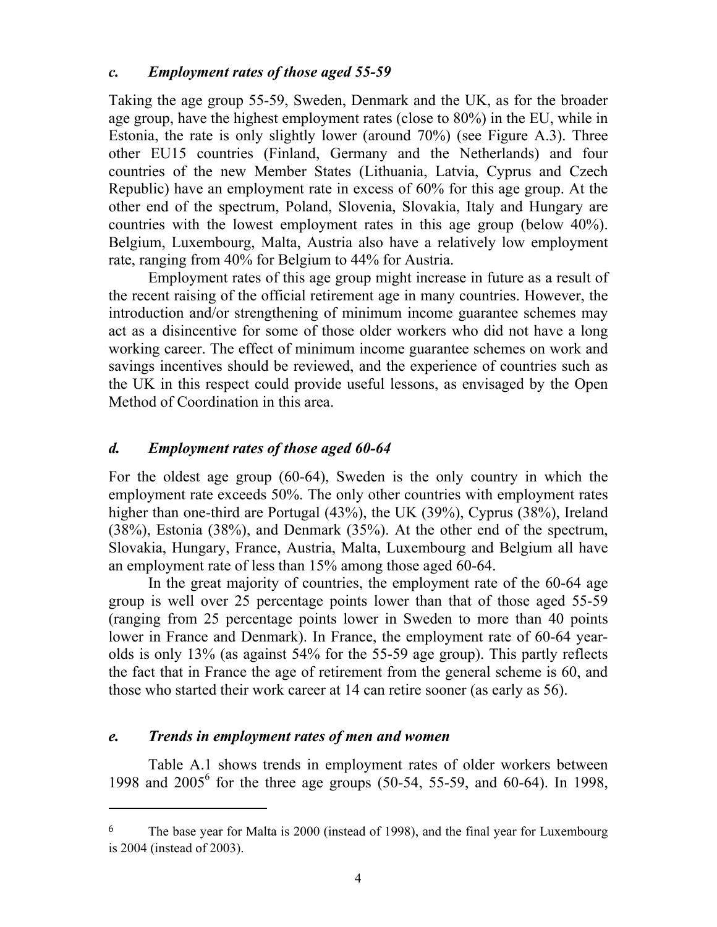#### *c. Employment rates of those aged 55-59*

Taking the age group 55-59, Sweden, Denmark and the UK, as for the broader age group, have the highest employment rates (close to 80%) in the EU, while in Estonia, the rate is only slightly lower (around 70%) (see Figure A.3). Three other EU15 countries (Finland, Germany and the Netherlands) and four countries of the new Member States (Lithuania, Latvia, Cyprus and Czech Republic) have an employment rate in excess of 60% for this age group. At the other end of the spectrum, Poland, Slovenia, Slovakia, Italy and Hungary are countries with the lowest employment rates in this age group (below 40%). Belgium, Luxembourg, Malta, Austria also have a relatively low employment rate, ranging from 40% for Belgium to 44% for Austria.

Employment rates of this age group might increase in future as a result of the recent raising of the official retirement age in many countries. However, the introduction and/or strengthening of minimum income guarantee schemes may act as a disincentive for some of those older workers who did not have a long working career. The effect of minimum income guarantee schemes on work and savings incentives should be reviewed, and the experience of countries such as the UK in this respect could provide useful lessons, as envisaged by the Open Method of Coordination in this area.

#### *d. Employment rates of those aged 60-64*

For the oldest age group (60-64), Sweden is the only country in which the employment rate exceeds 50%. The only other countries with employment rates higher than one-third are Portugal (43%), the UK (39%), Cyprus (38%), Ireland (38%), Estonia (38%), and Denmark (35%). At the other end of the spectrum, Slovakia, Hungary, France, Austria, Malta, Luxembourg and Belgium all have an employment rate of less than 15% among those aged 60-64.

In the great majority of countries, the employment rate of the 60-64 age group is well over 25 percentage points lower than that of those aged 55-59 (ranging from 25 percentage points lower in Sweden to more than 40 points lower in France and Denmark). In France, the employment rate of 60-64 yearolds is only 13% (as against 54% for the 55-59 age group). This partly reflects the fact that in France the age of retirement from the general scheme is 60, and those who started their work career at 14 can retire sooner (as early as 56).

#### *e. Trends in employment rates of men and women*

 $\overline{a}$ 

Table A.1 shows trends in employment rates of older workers between 1998 and 2005<sup>6</sup> for the three age groups (50-54, 55-59, and 60-64). In 1998,

<sup>6</sup> The base year for Malta is 2000 (instead of 1998), and the final year for Luxembourg is 2004 (instead of 2003).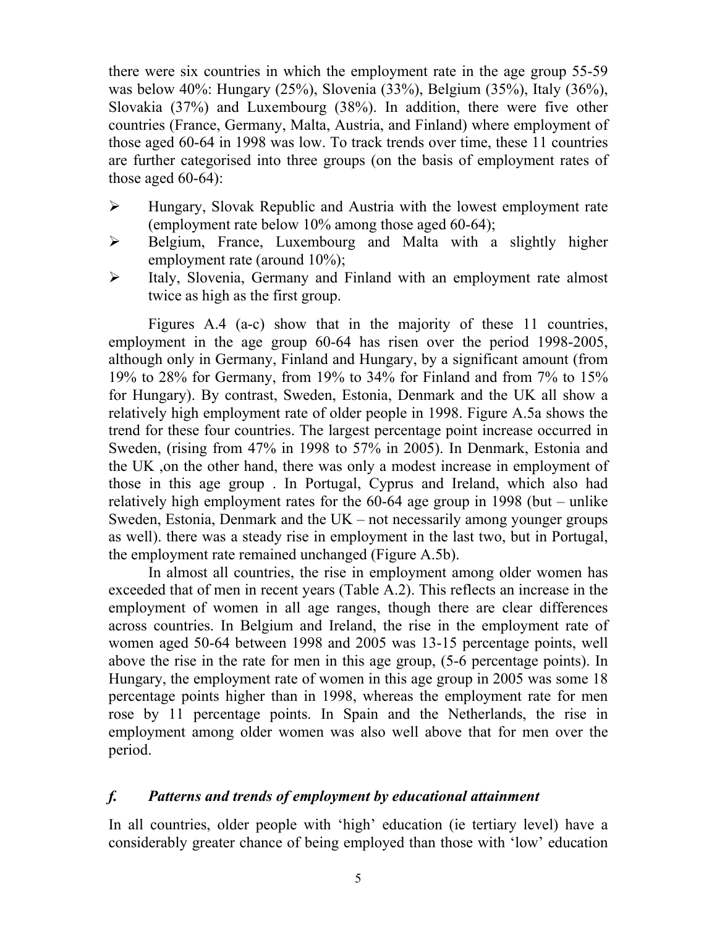there were six countries in which the employment rate in the age group 55-59 was below 40%: Hungary (25%), Slovenia (33%), Belgium (35%), Italy (36%), Slovakia (37%) and Luxembourg (38%). In addition, there were five other countries (France, Germany, Malta, Austria, and Finland) where employment of those aged 60-64 in 1998 was low. To track trends over time, these 11 countries are further categorised into three groups (on the basis of employment rates of those aged  $60-64$ :

- ¾ Hungary, Slovak Republic and Austria with the lowest employment rate (employment rate below 10% among those aged 60-64);
- ¾ Belgium, France, Luxembourg and Malta with a slightly higher employment rate (around 10%);
- ¾ Italy, Slovenia, Germany and Finland with an employment rate almost twice as high as the first group.

Figures A.4 (a-c) show that in the majority of these 11 countries, employment in the age group 60-64 has risen over the period 1998-2005, although only in Germany, Finland and Hungary, by a significant amount (from 19% to 28% for Germany, from 19% to 34% for Finland and from 7% to 15% for Hungary). By contrast, Sweden, Estonia, Denmark and the UK all show a relatively high employment rate of older people in 1998. Figure A.5a shows the trend for these four countries. The largest percentage point increase occurred in Sweden, (rising from 47% in 1998 to 57% in 2005). In Denmark, Estonia and the UK ,on the other hand, there was only a modest increase in employment of those in this age group . In Portugal, Cyprus and Ireland, which also had relatively high employment rates for the 60-64 age group in 1998 (but – unlike Sweden, Estonia, Denmark and the UK – not necessarily among younger groups as well). there was a steady rise in employment in the last two, but in Portugal, the employment rate remained unchanged (Figure A.5b).

In almost all countries, the rise in employment among older women has exceeded that of men in recent years (Table A.2). This reflects an increase in the employment of women in all age ranges, though there are clear differences across countries. In Belgium and Ireland, the rise in the employment rate of women aged 50-64 between 1998 and 2005 was 13-15 percentage points, well above the rise in the rate for men in this age group, (5-6 percentage points). In Hungary, the employment rate of women in this age group in 2005 was some 18 percentage points higher than in 1998, whereas the employment rate for men rose by 11 percentage points. In Spain and the Netherlands, the rise in employment among older women was also well above that for men over the period.

#### *f. Patterns and trends of employment by educational attainment*

In all countries, older people with 'high' education (ie tertiary level) have a considerably greater chance of being employed than those with 'low' education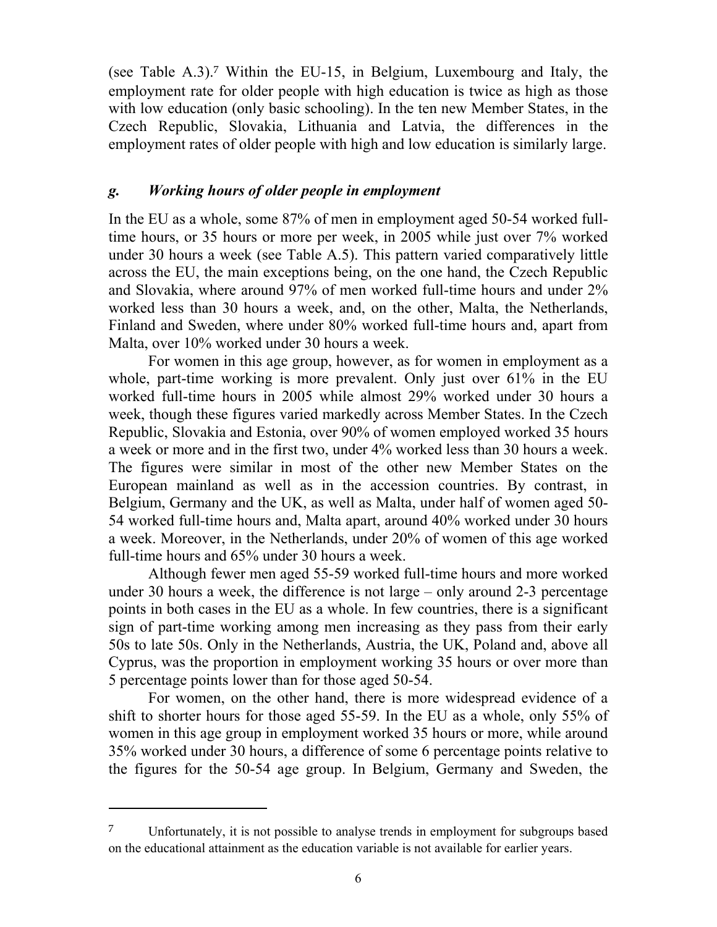(see Table A.3).7 Within the EU-15, in Belgium, Luxembourg and Italy, the employment rate for older people with high education is twice as high as those with low education (only basic schooling). In the ten new Member States, in the Czech Republic, Slovakia, Lithuania and Latvia, the differences in the employment rates of older people with high and low education is similarly large.

#### *g. Working hours of older people in employment*

In the EU as a whole, some 87% of men in employment aged 50-54 worked fulltime hours, or 35 hours or more per week, in 2005 while just over 7% worked under 30 hours a week (see Table A.5). This pattern varied comparatively little across the EU, the main exceptions being, on the one hand, the Czech Republic and Slovakia, where around 97% of men worked full-time hours and under 2% worked less than 30 hours a week, and, on the other, Malta, the Netherlands, Finland and Sweden, where under 80% worked full-time hours and, apart from Malta, over 10% worked under 30 hours a week.

For women in this age group, however, as for women in employment as a whole, part-time working is more prevalent. Only just over 61% in the EU worked full-time hours in 2005 while almost 29% worked under 30 hours a week, though these figures varied markedly across Member States. In the Czech Republic, Slovakia and Estonia, over 90% of women employed worked 35 hours a week or more and in the first two, under 4% worked less than 30 hours a week. The figures were similar in most of the other new Member States on the European mainland as well as in the accession countries. By contrast, in Belgium, Germany and the UK, as well as Malta, under half of women aged 50- 54 worked full-time hours and, Malta apart, around 40% worked under 30 hours a week. Moreover, in the Netherlands, under 20% of women of this age worked full-time hours and 65% under 30 hours a week.

Although fewer men aged 55-59 worked full-time hours and more worked under 30 hours a week, the difference is not large – only around 2-3 percentage points in both cases in the EU as a whole. In few countries, there is a significant sign of part-time working among men increasing as they pass from their early 50s to late 50s. Only in the Netherlands, Austria, the UK, Poland and, above all Cyprus, was the proportion in employment working 35 hours or over more than 5 percentage points lower than for those aged 50-54.

For women, on the other hand, there is more widespread evidence of a shift to shorter hours for those aged 55-59. In the EU as a whole, only 55% of women in this age group in employment worked 35 hours or more, while around 35% worked under 30 hours, a difference of some 6 percentage points relative to the figures for the 50-54 age group. In Belgium, Germany and Sweden, the

 $\overline{a}$ 

<sup>7</sup> Unfortunately, it is not possible to analyse trends in employment for subgroups based on the educational attainment as the education variable is not available for earlier years.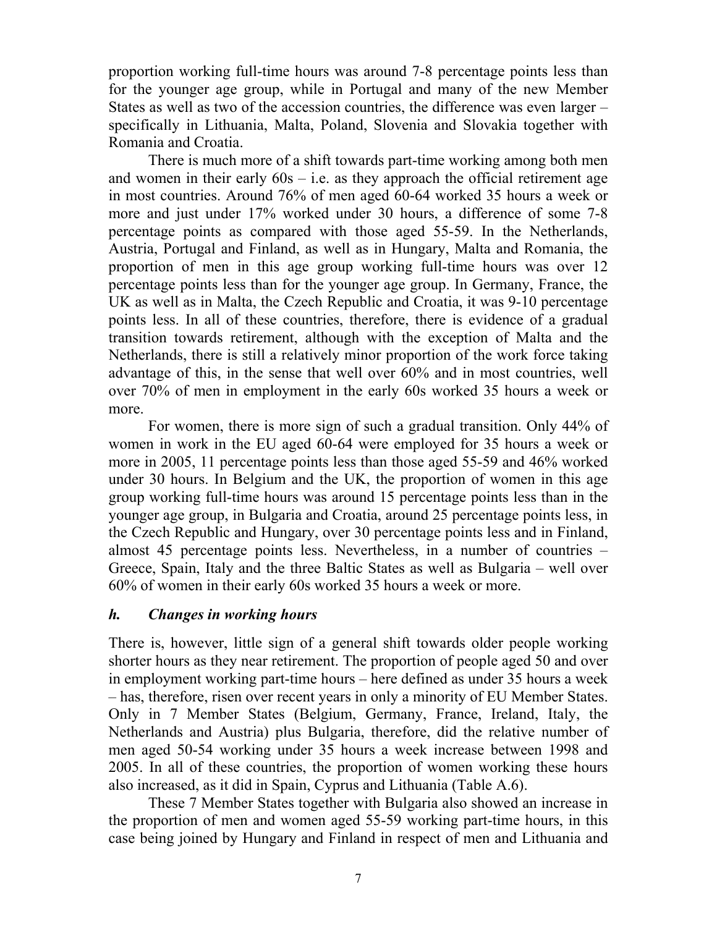proportion working full-time hours was around 7-8 percentage points less than for the younger age group, while in Portugal and many of the new Member States as well as two of the accession countries, the difference was even larger – specifically in Lithuania, Malta, Poland, Slovenia and Slovakia together with Romania and Croatia.

There is much more of a shift towards part-time working among both men and women in their early  $60s - i.e.$  as they approach the official retirement age in most countries. Around 76% of men aged 60-64 worked 35 hours a week or more and just under 17% worked under 30 hours, a difference of some 7-8 percentage points as compared with those aged 55-59. In the Netherlands, Austria, Portugal and Finland, as well as in Hungary, Malta and Romania, the proportion of men in this age group working full-time hours was over 12 percentage points less than for the younger age group. In Germany, France, the UK as well as in Malta, the Czech Republic and Croatia, it was 9-10 percentage points less. In all of these countries, therefore, there is evidence of a gradual transition towards retirement, although with the exception of Malta and the Netherlands, there is still a relatively minor proportion of the work force taking advantage of this, in the sense that well over 60% and in most countries, well over 70% of men in employment in the early 60s worked 35 hours a week or more.

For women, there is more sign of such a gradual transition. Only 44% of women in work in the EU aged 60-64 were employed for 35 hours a week or more in 2005, 11 percentage points less than those aged 55-59 and 46% worked under 30 hours. In Belgium and the UK, the proportion of women in this age group working full-time hours was around 15 percentage points less than in the younger age group, in Bulgaria and Croatia, around 25 percentage points less, in the Czech Republic and Hungary, over 30 percentage points less and in Finland, almost 45 percentage points less. Nevertheless, in a number of countries – Greece, Spain, Italy and the three Baltic States as well as Bulgaria – well over 60% of women in their early 60s worked 35 hours a week or more.

#### *h. Changes in working hours*

There is, however, little sign of a general shift towards older people working shorter hours as they near retirement. The proportion of people aged 50 and over in employment working part-time hours – here defined as under 35 hours a week – has, therefore, risen over recent years in only a minority of EU Member States. Only in 7 Member States (Belgium, Germany, France, Ireland, Italy, the Netherlands and Austria) plus Bulgaria, therefore, did the relative number of men aged 50-54 working under 35 hours a week increase between 1998 and 2005. In all of these countries, the proportion of women working these hours also increased, as it did in Spain, Cyprus and Lithuania (Table A.6).

These 7 Member States together with Bulgaria also showed an increase in the proportion of men and women aged 55-59 working part-time hours, in this case being joined by Hungary and Finland in respect of men and Lithuania and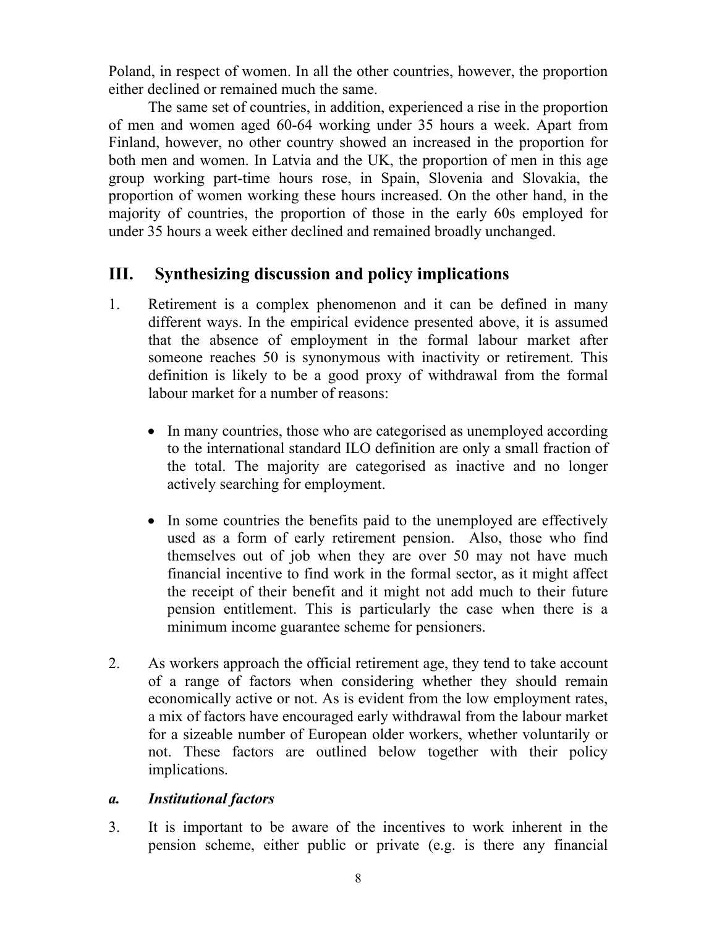Poland, in respect of women. In all the other countries, however, the proportion either declined or remained much the same.

The same set of countries, in addition, experienced a rise in the proportion of men and women aged 60-64 working under 35 hours a week. Apart from Finland, however, no other country showed an increased in the proportion for both men and women. In Latvia and the UK, the proportion of men in this age group working part-time hours rose, in Spain, Slovenia and Slovakia, the proportion of women working these hours increased. On the other hand, in the majority of countries, the proportion of those in the early 60s employed for under 35 hours a week either declined and remained broadly unchanged.

## **III. Synthesizing discussion and policy implications**

- 1. Retirement is a complex phenomenon and it can be defined in many different ways. In the empirical evidence presented above, it is assumed that the absence of employment in the formal labour market after someone reaches 50 is synonymous with inactivity or retirement. This definition is likely to be a good proxy of withdrawal from the formal labour market for a number of reasons:
	- In many countries, those who are categorised as unemployed according to the international standard ILO definition are only a small fraction of the total. The majority are categorised as inactive and no longer actively searching for employment.
	- In some countries the benefits paid to the unemployed are effectively used as a form of early retirement pension. Also, those who find themselves out of job when they are over 50 may not have much financial incentive to find work in the formal sector, as it might affect the receipt of their benefit and it might not add much to their future pension entitlement. This is particularly the case when there is a minimum income guarantee scheme for pensioners.
- 2. As workers approach the official retirement age, they tend to take account of a range of factors when considering whether they should remain economically active or not. As is evident from the low employment rates, a mix of factors have encouraged early withdrawal from the labour market for a sizeable number of European older workers, whether voluntarily or not. These factors are outlined below together with their policy implications.

### *a. Institutional factors*

3. It is important to be aware of the incentives to work inherent in the pension scheme, either public or private (e.g. is there any financial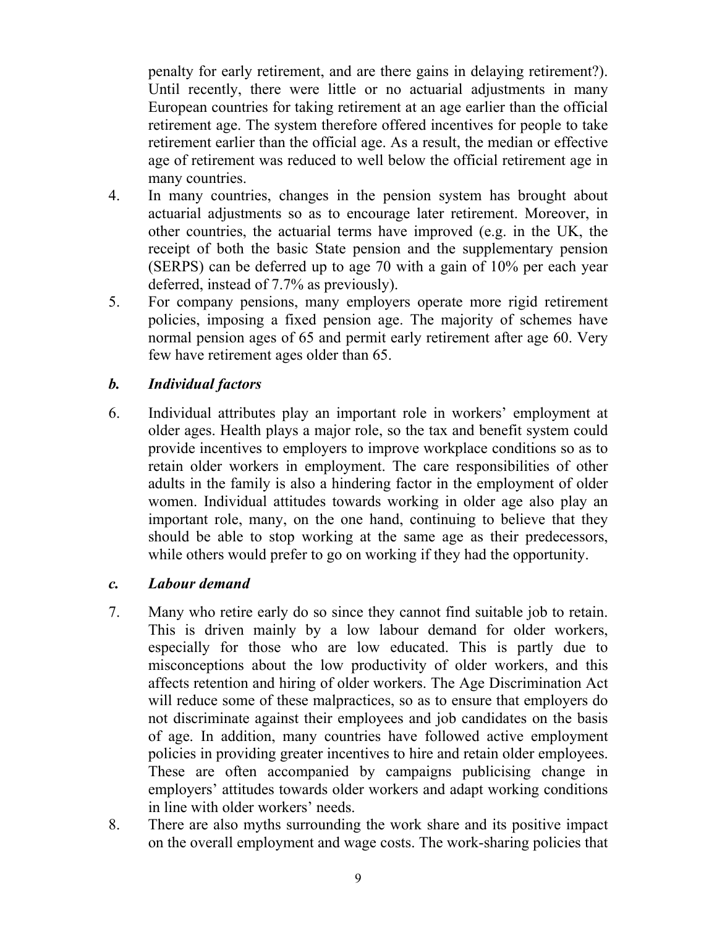penalty for early retirement, and are there gains in delaying retirement?). Until recently, there were little or no actuarial adjustments in many European countries for taking retirement at an age earlier than the official retirement age. The system therefore offered incentives for people to take retirement earlier than the official age. As a result, the median or effective age of retirement was reduced to well below the official retirement age in many countries.

- 4. In many countries, changes in the pension system has brought about actuarial adjustments so as to encourage later retirement. Moreover, in other countries, the actuarial terms have improved (e.g. in the UK, the receipt of both the basic State pension and the supplementary pension (SERPS) can be deferred up to age 70 with a gain of 10% per each year deferred, instead of 7.7% as previously).
- 5. For company pensions, many employers operate more rigid retirement policies, imposing a fixed pension age. The majority of schemes have normal pension ages of 65 and permit early retirement after age 60. Very few have retirement ages older than 65.

#### *b. Individual factors*

6. Individual attributes play an important role in workers' employment at older ages. Health plays a major role, so the tax and benefit system could provide incentives to employers to improve workplace conditions so as to retain older workers in employment. The care responsibilities of other adults in the family is also a hindering factor in the employment of older women. Individual attitudes towards working in older age also play an important role, many, on the one hand, continuing to believe that they should be able to stop working at the same age as their predecessors, while others would prefer to go on working if they had the opportunity.

#### *c. Labour demand*

- 7. Many who retire early do so since they cannot find suitable job to retain. This is driven mainly by a low labour demand for older workers, especially for those who are low educated. This is partly due to misconceptions about the low productivity of older workers, and this affects retention and hiring of older workers. The Age Discrimination Act will reduce some of these malpractices, so as to ensure that employers do not discriminate against their employees and job candidates on the basis of age. In addition, many countries have followed active employment policies in providing greater incentives to hire and retain older employees. These are often accompanied by campaigns publicising change in employers' attitudes towards older workers and adapt working conditions in line with older workers' needs.
- 8. There are also myths surrounding the work share and its positive impact on the overall employment and wage costs. The work-sharing policies that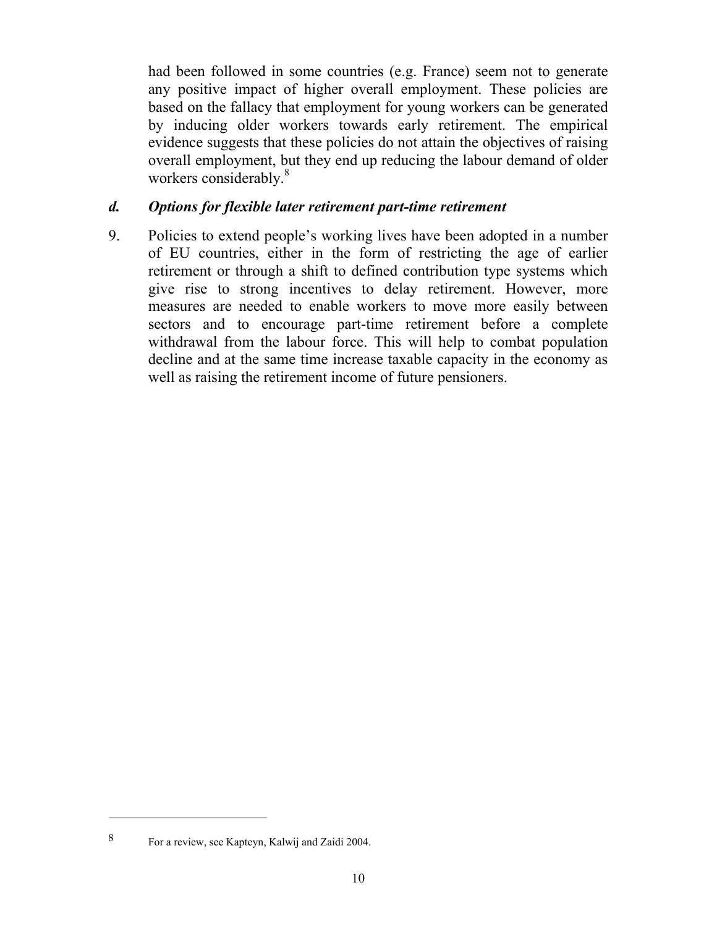had been followed in some countries (e.g. France) seem not to generate any positive impact of higher overall employment. These policies are based on the fallacy that employment for young workers can be generated by inducing older workers towards early retirement. The empirical evidence suggests that these policies do not attain the objectives of raising overall employment, but they end up reducing the labour demand of older workers considerably.<sup>8</sup>

#### *d. Options for flexible later retirement part-time retirement*

9. Policies to extend people's working lives have been adopted in a number of EU countries, either in the form of restricting the age of earlier retirement or through a shift to defined contribution type systems which give rise to strong incentives to delay retirement. However, more measures are needed to enable workers to move more easily between sectors and to encourage part-time retirement before a complete withdrawal from the labour force. This will help to combat population decline and at the same time increase taxable capacity in the economy as well as raising the retirement income of future pensioners.

 $\overline{a}$ 

<sup>8</sup> For a review, see Kapteyn, Kalwij and Zaidi 2004.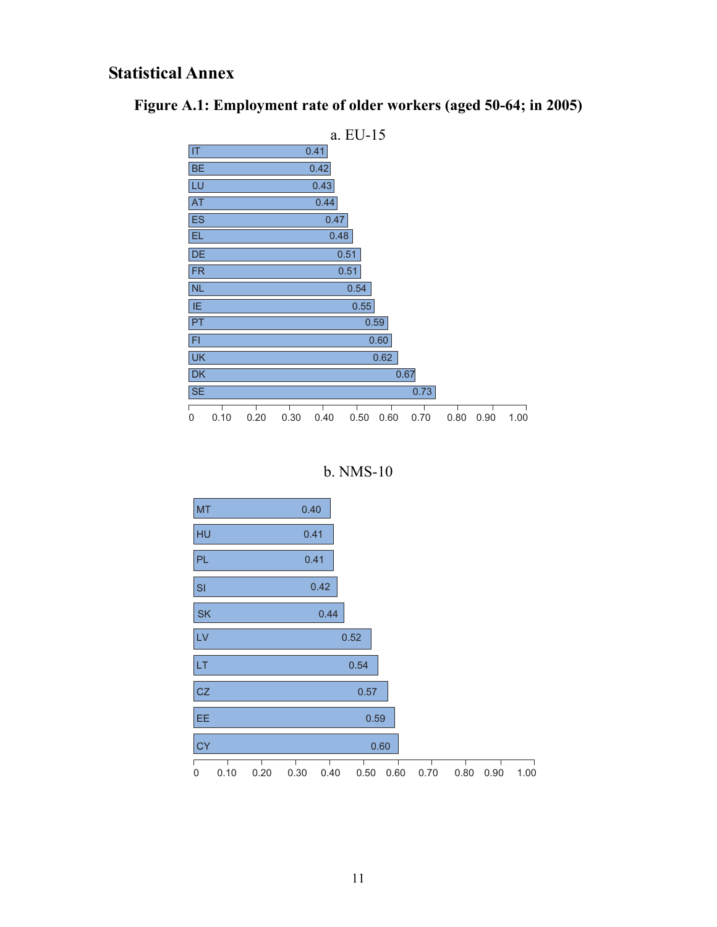### **Statistical Annex**





b. NMS-10

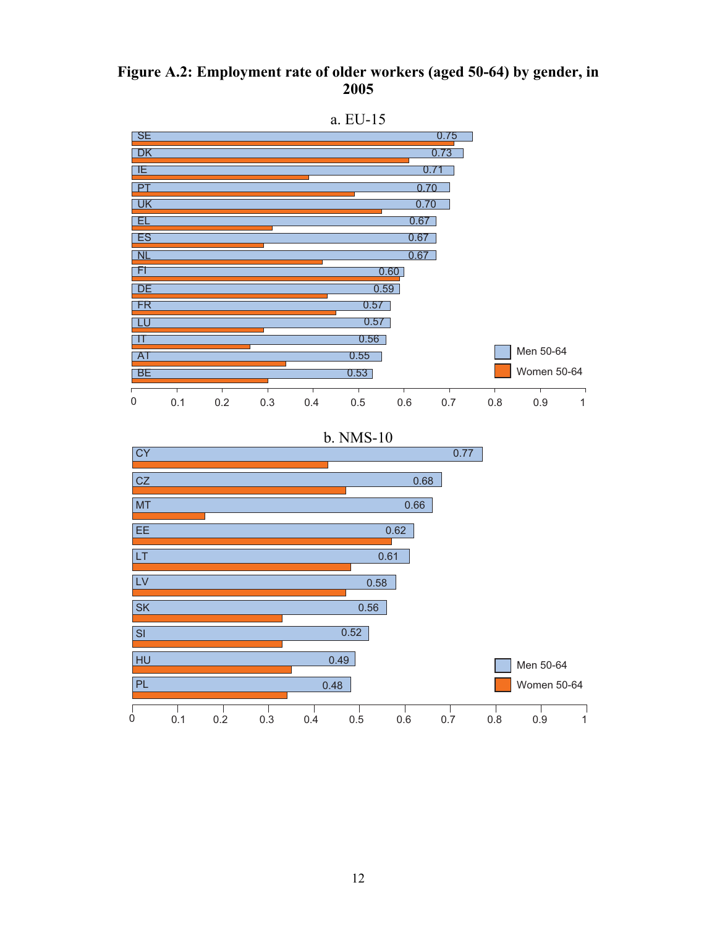#### **Figure A.2: Employment rate of older workers (aged 50-64) by gender, in 2005**

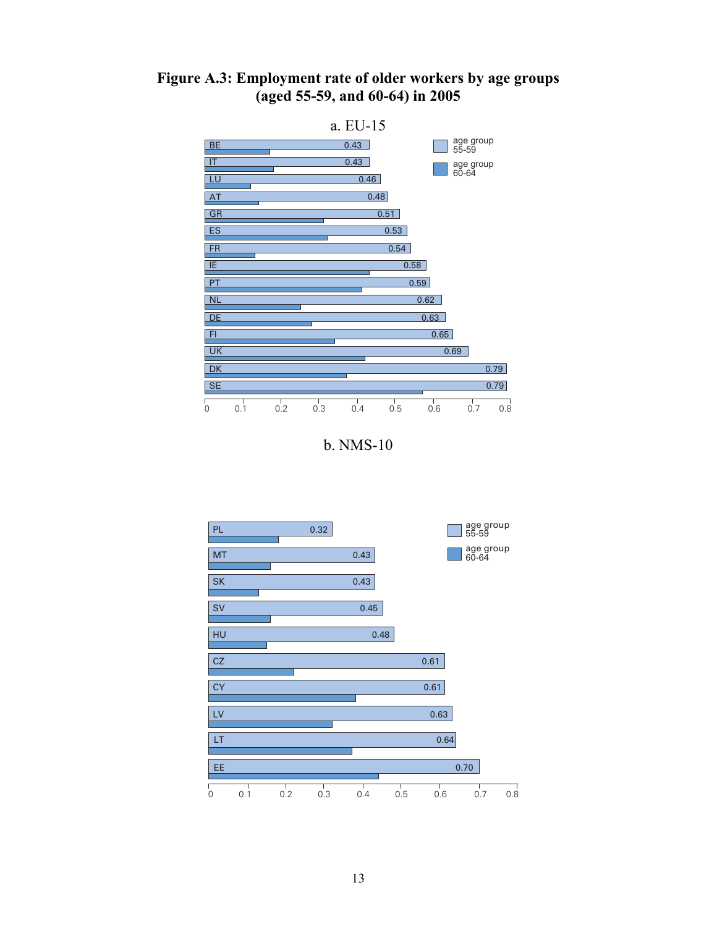



b. NMS-10

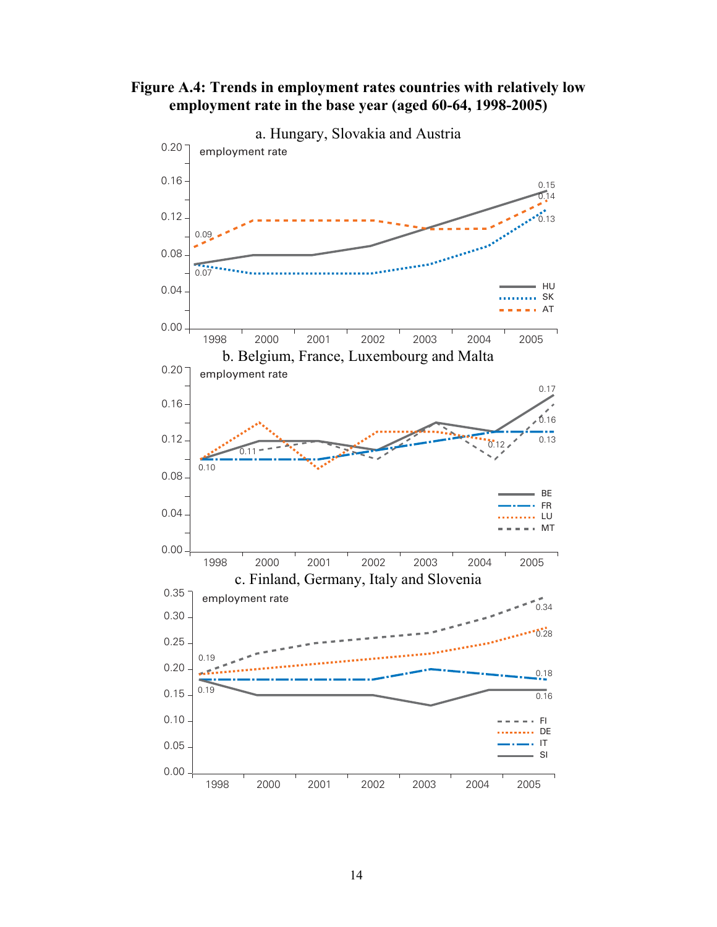

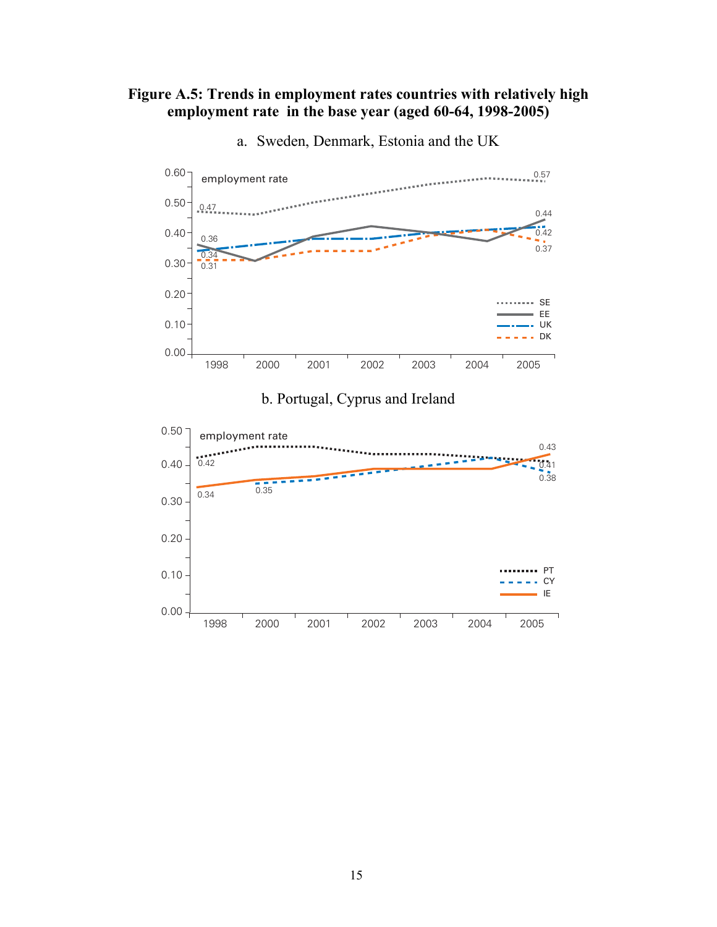#### **Figure A.5: Trends in employment rates countries with relatively high employment rate in the base year (aged 60-64, 1998-2005)**



a. Sweden, Denmark, Estonia and the UK

#### b. Portugal, Cyprus and Ireland

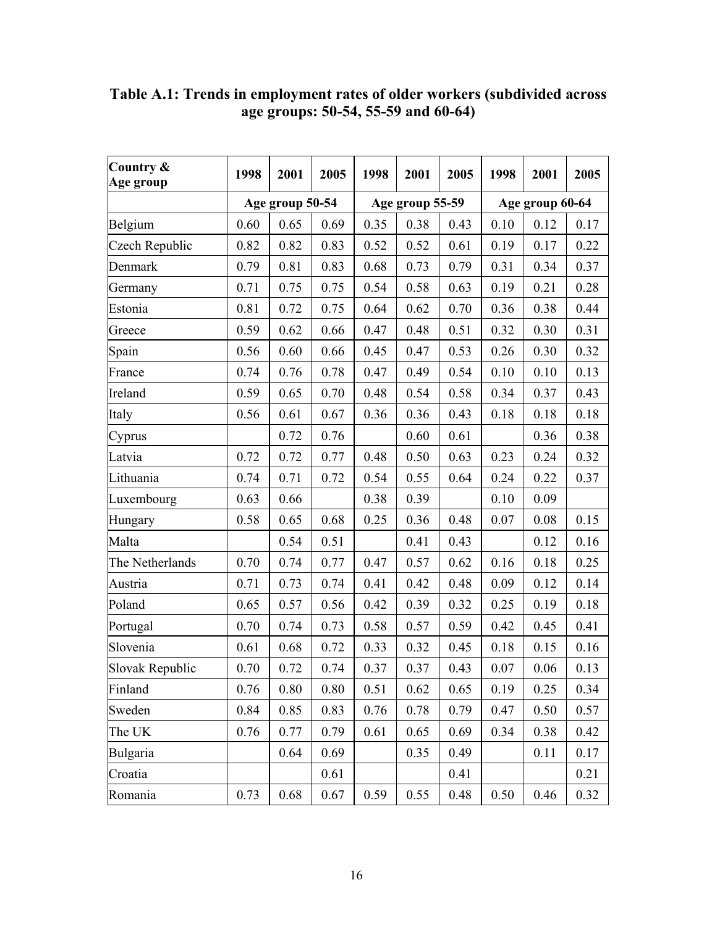| Country &<br>Age group | 1998 | 2001            | 2005 | 1998 | 2001            | 2005 | 1998 | 2001            | 2005 |
|------------------------|------|-----------------|------|------|-----------------|------|------|-----------------|------|
|                        |      | Age group 50-54 |      |      | Age group 55-59 |      |      | Age group 60-64 |      |
| Belgium                | 0.60 | 0.65            | 0.69 | 0.35 | 0.38            | 0.43 | 0.10 | 0.12            | 0.17 |
| Czech Republic         | 0.82 | 0.82            | 0.83 | 0.52 | 0.52            | 0.61 | 0.19 | 0.17            | 0.22 |
| Denmark                | 0.79 | 0.81            | 0.83 | 0.68 | 0.73            | 0.79 | 0.31 | 0.34            | 0.37 |
| Germany                | 0.71 | 0.75            | 0.75 | 0.54 | 0.58            | 0.63 | 0.19 | 0.21            | 0.28 |
| Estonia                | 0.81 | 0.72            | 0.75 | 0.64 | 0.62            | 0.70 | 0.36 | 0.38            | 0.44 |
| Greece                 | 0.59 | 0.62            | 0.66 | 0.47 | 0.48            | 0.51 | 0.32 | 0.30            | 0.31 |
| Spain                  | 0.56 | 0.60            | 0.66 | 0.45 | 0.47            | 0.53 | 0.26 | 0.30            | 0.32 |
| France                 | 0.74 | 0.76            | 0.78 | 0.47 | 0.49            | 0.54 | 0.10 | 0.10            | 0.13 |
| Ireland                | 0.59 | 0.65            | 0.70 | 0.48 | 0.54            | 0.58 | 0.34 | 0.37            | 0.43 |
| Italy                  | 0.56 | 0.61            | 0.67 | 0.36 | 0.36            | 0.43 | 0.18 | 0.18            | 0.18 |
| Cyprus                 |      | 0.72            | 0.76 |      | 0.60            | 0.61 |      | 0.36            | 0.38 |
| Latvia                 | 0.72 | 0.72            | 0.77 | 0.48 | 0.50            | 0.63 | 0.23 | 0.24            | 0.32 |
| Lithuania              | 0.74 | 0.71            | 0.72 | 0.54 | 0.55            | 0.64 | 0.24 | 0.22            | 0.37 |
| Luxembourg             | 0.63 | 0.66            |      | 0.38 | 0.39            |      | 0.10 | 0.09            |      |
| Hungary                | 0.58 | 0.65            | 0.68 | 0.25 | 0.36            | 0.48 | 0.07 | 0.08            | 0.15 |
| Malta                  |      | 0.54            | 0.51 |      | 0.41            | 0.43 |      | 0.12            | 0.16 |
| The Netherlands        | 0.70 | 0.74            | 0.77 | 0.47 | 0.57            | 0.62 | 0.16 | 0.18            | 0.25 |
| Austria                | 0.71 | 0.73            | 0.74 | 0.41 | 0.42            | 0.48 | 0.09 | 0.12            | 0.14 |
| Poland                 | 0.65 | 0.57            | 0.56 | 0.42 | 0.39            | 0.32 | 0.25 | 0.19            | 0.18 |
| Portugal               | 0.70 | 0.74            | 0.73 | 0.58 | 0.57            | 0.59 | 0.42 | 0.45            | 0.41 |
| Slovenia               | 0.61 | 0.68            | 0.72 | 0.33 | 0.32            | 0.45 | 0.18 | 0.15            | 0.16 |
| Slovak Republic        | 0.70 | 0.72            | 0.74 | 0.37 | 0.37            | 0.43 | 0.07 | 0.06            | 0.13 |
| Finland                | 0.76 | 0.80            | 0.80 | 0.51 | 0.62            | 0.65 | 0.19 | 0.25            | 0.34 |
| Sweden                 | 0.84 | 0.85            | 0.83 | 0.76 | 0.78            | 0.79 | 0.47 | 0.50            | 0.57 |
| The UK                 | 0.76 | 0.77            | 0.79 | 0.61 | 0.65            | 0.69 | 0.34 | 0.38            | 0.42 |
| Bulgaria               |      | 0.64            | 0.69 |      | 0.35            | 0.49 |      | 0.11            | 0.17 |
| Croatia                |      |                 | 0.61 |      |                 | 0.41 |      |                 | 0.21 |
| Romania                | 0.73 | 0.68            | 0.67 | 0.59 | 0.55            | 0.48 | 0.50 | 0.46            | 0.32 |

**Table A.1: Trends in employment rates of older workers (subdivided across age groups: 50-54, 55-59 and 60-64)**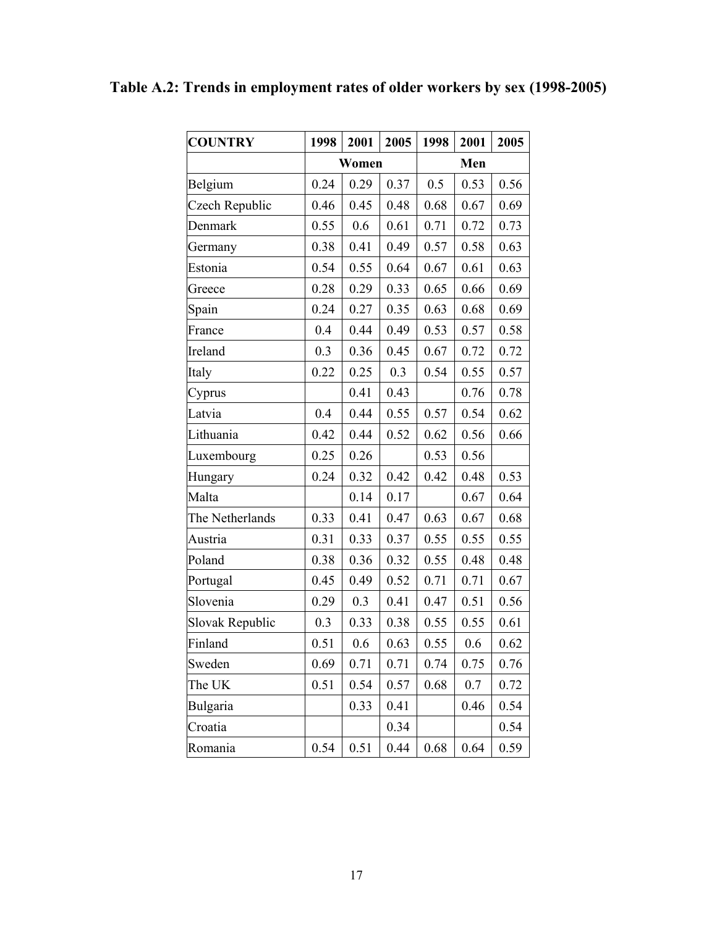| <b>COUNTRY</b>  | 1998 | 2001  | 2005 | 1998 | 2001 | 2005 |
|-----------------|------|-------|------|------|------|------|
|                 |      | Women |      |      | Men  |      |
| Belgium         | 0.24 | 0.29  | 0.37 | 0.5  | 0.53 | 0.56 |
| Czech Republic  | 0.46 | 0.45  | 0.48 | 0.68 | 0.67 | 0.69 |
| Denmark         | 0.55 | 0.6   | 0.61 | 0.71 | 0.72 | 0.73 |
| Germany         | 0.38 | 0.41  | 0.49 | 0.57 | 0.58 | 0.63 |
| Estonia         | 0.54 | 0.55  | 0.64 | 0.67 | 0.61 | 0.63 |
| Greece          | 0.28 | 0.29  | 0.33 | 0.65 | 0.66 | 0.69 |
| Spain           | 0.24 | 0.27  | 0.35 | 0.63 | 0.68 | 0.69 |
| France          | 0.4  | 0.44  | 0.49 | 0.53 | 0.57 | 0.58 |
| Ireland         | 0.3  | 0.36  | 0.45 | 0.67 | 0.72 | 0.72 |
| Italy           | 0.22 | 0.25  | 0.3  | 0.54 | 0.55 | 0.57 |
| Cyprus          |      | 0.41  | 0.43 |      | 0.76 | 0.78 |
| Latvia          | 0.4  | 0.44  | 0.55 | 0.57 | 0.54 | 0.62 |
| Lithuania       | 0.42 | 0.44  | 0.52 | 0.62 | 0.56 | 0.66 |
| Luxembourg      | 0.25 | 0.26  |      | 0.53 | 0.56 |      |
| Hungary         | 0.24 | 0.32  | 0.42 | 0.42 | 0.48 | 0.53 |
| Malta           |      | 0.14  | 0.17 |      | 0.67 | 0.64 |
| The Netherlands | 0.33 | 0.41  | 0.47 | 0.63 | 0.67 | 0.68 |
| Austria         | 0.31 | 0.33  | 0.37 | 0.55 | 0.55 | 0.55 |
| Poland          | 0.38 | 0.36  | 0.32 | 0.55 | 0.48 | 0.48 |
| Portugal        | 0.45 | 0.49  | 0.52 | 0.71 | 0.71 | 0.67 |
| Slovenia        | 0.29 | 0.3   | 0.41 | 0.47 | 0.51 | 0.56 |
| Slovak Republic | 0.3  | 0.33  | 0.38 | 0.55 | 0.55 | 0.61 |
| Finland         | 0.51 | 0.6   | 0.63 | 0.55 | 0.6  | 0.62 |
| Sweden          | 0.69 | 0.71  | 0.71 | 0.74 | 0.75 | 0.76 |
| The UK          | 0.51 | 0.54  | 0.57 | 0.68 | 0.7  | 0.72 |
| Bulgaria        |      | 0.33  | 0.41 |      | 0.46 | 0.54 |
| Croatia         |      |       | 0.34 |      |      | 0.54 |
| Romania         | 0.54 | 0.51  | 0.44 | 0.68 | 0.64 | 0.59 |

**Table A.2: Trends in employment rates of older workers by sex (1998-2005)**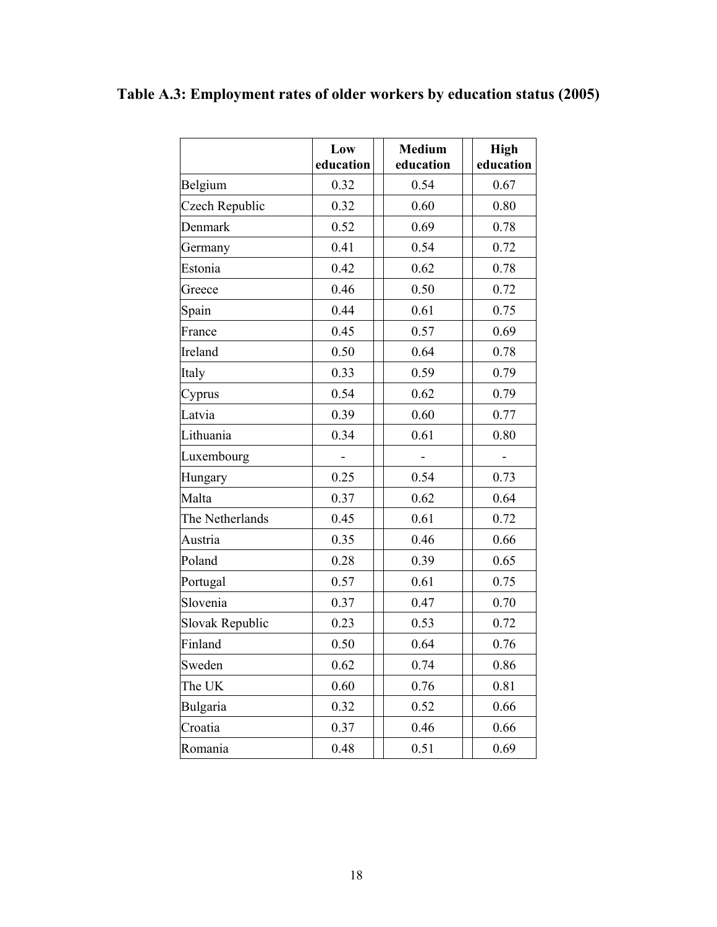|                 | Low<br>education | <b>Medium</b><br>education | <b>High</b><br>education |
|-----------------|------------------|----------------------------|--------------------------|
| Belgium         | 0.32             | 0.54                       | 0.67                     |
| Czech Republic  | 0.32             | 0.60                       | 0.80                     |
| Denmark         | 0.52             | 0.69                       | 0.78                     |
| Germany         | 0.41             | 0.54                       | 0.72                     |
| Estonia         | 0.42             | 0.62                       | 0.78                     |
| Greece          | 0.46             | 0.50                       | 0.72                     |
| Spain           | 0.44             | 0.61                       | 0.75                     |
| France          | 0.45             | 0.57                       | 0.69                     |
| Ireland         | 0.50             | 0.64                       | 0.78                     |
| Italy           | 0.33             | 0.59                       | 0.79                     |
| Cyprus          | 0.54             | 0.62                       | 0.79                     |
| Latvia          | 0.39             | 0.60                       | 0.77                     |
| Lithuania       | 0.34             | 0.61                       | 0.80                     |
| Luxembourg      |                  |                            |                          |
| Hungary         | 0.25             | 0.54                       | 0.73                     |
| Malta           | 0.37             | 0.62                       | 0.64                     |
| The Netherlands | 0.45             | 0.61                       | 0.72                     |
| Austria         | 0.35             | 0.46                       | 0.66                     |
| Poland          | 0.28             | 0.39                       | 0.65                     |
| Portugal        | 0.57             | 0.61                       | 0.75                     |
| Slovenia        | 0.37             | 0.47                       | 0.70                     |
| Slovak Republic | 0.23             | 0.53                       | 0.72                     |
| Finland         | 0.50             | 0.64                       | 0.76                     |
| Sweden          | 0.62             | 0.74                       | 0.86                     |
| The UK          | 0.60             | 0.76                       | 0.81                     |
| Bulgaria        | 0.32             | 0.52                       | 0.66                     |
| Croatia         | 0.37             | 0.46                       | 0.66                     |
| Romania         | 0.48             | 0.51                       | 0.69                     |

# **Table A.3: Employment rates of older workers by education status (2005)**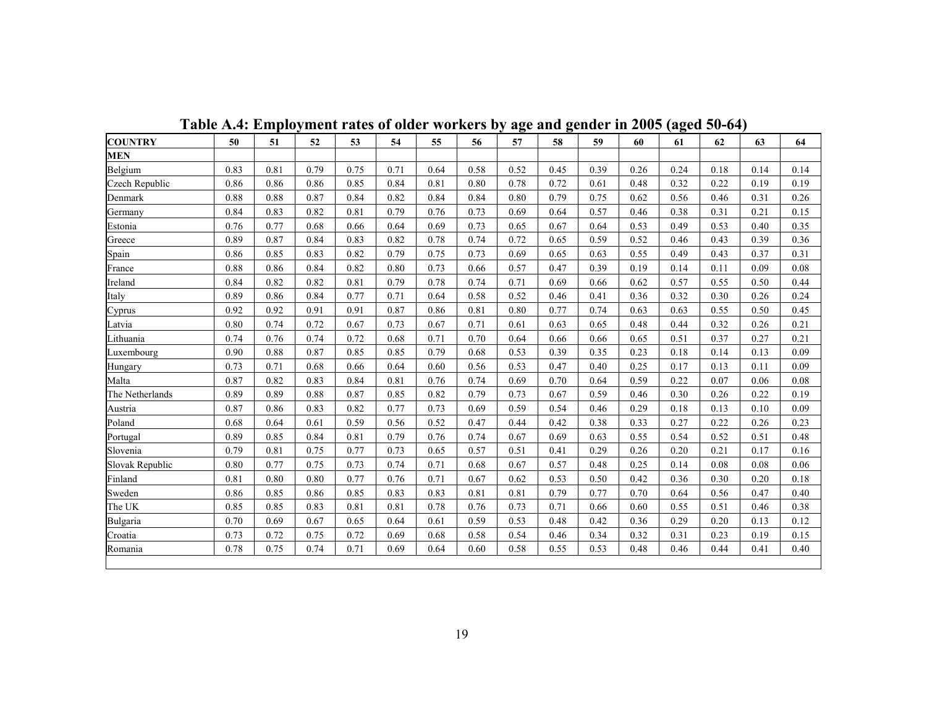| <b>COUNTRY</b>  | 50   | 51   | 52   | 53   | 54   | 55   | 56   | 57   | 58   | 59   | 60   | 61   | 62   | 63   | 64   |
|-----------------|------|------|------|------|------|------|------|------|------|------|------|------|------|------|------|
| <b>MEN</b>      |      |      |      |      |      |      |      |      |      |      |      |      |      |      |      |
| Belgium         | 0.83 | 0.81 | 0.79 | 0.75 | 0.71 | 0.64 | 0.58 | 0.52 | 0.45 | 0.39 | 0.26 | 0.24 | 0.18 | 0.14 | 0.14 |
| Czech Republic  | 0.86 | 0.86 | 0.86 | 0.85 | 0.84 | 0.81 | 0.80 | 0.78 | 0.72 | 0.61 | 0.48 | 0.32 | 0.22 | 0.19 | 0.19 |
| Denmark         | 0.88 | 0.88 | 0.87 | 0.84 | 0.82 | 0.84 | 0.84 | 0.80 | 0.79 | 0.75 | 0.62 | 0.56 | 0.46 | 0.31 | 0.26 |
| Germany         | 0.84 | 0.83 | 0.82 | 0.81 | 0.79 | 0.76 | 0.73 | 0.69 | 0.64 | 0.57 | 0.46 | 0.38 | 0.31 | 0.21 | 0.15 |
| Estonia         | 0.76 | 0.77 | 0.68 | 0.66 | 0.64 | 0.69 | 0.73 | 0.65 | 0.67 | 0.64 | 0.53 | 0.49 | 0.53 | 0.40 | 0.35 |
| Greece          | 0.89 | 0.87 | 0.84 | 0.83 | 0.82 | 0.78 | 0.74 | 0.72 | 0.65 | 0.59 | 0.52 | 0.46 | 0.43 | 0.39 | 0.36 |
| Spain           | 0.86 | 0.85 | 0.83 | 0.82 | 0.79 | 0.75 | 0.73 | 0.69 | 0.65 | 0.63 | 0.55 | 0.49 | 0.43 | 0.37 | 0.31 |
| France          | 0.88 | 0.86 | 0.84 | 0.82 | 0.80 | 0.73 | 0.66 | 0.57 | 0.47 | 0.39 | 0.19 | 0.14 | 0.11 | 0.09 | 0.08 |
| Ireland         | 0.84 | 0.82 | 0.82 | 0.81 | 0.79 | 0.78 | 0.74 | 0.71 | 0.69 | 0.66 | 0.62 | 0.57 | 0.55 | 0.50 | 0.44 |
| Italy           | 0.89 | 0.86 | 0.84 | 0.77 | 0.71 | 0.64 | 0.58 | 0.52 | 0.46 | 0.41 | 0.36 | 0.32 | 0.30 | 0.26 | 0.24 |
| Cyprus          | 0.92 | 0.92 | 0.91 | 0.91 | 0.87 | 0.86 | 0.81 | 0.80 | 0.77 | 0.74 | 0.63 | 0.63 | 0.55 | 0.50 | 0.45 |
| Latvia          | 0.80 | 0.74 | 0.72 | 0.67 | 0.73 | 0.67 | 0.71 | 0.61 | 0.63 | 0.65 | 0.48 | 0.44 | 0.32 | 0.26 | 0.21 |
| Lithuania       | 0.74 | 0.76 | 0.74 | 0.72 | 0.68 | 0.71 | 0.70 | 0.64 | 0.66 | 0.66 | 0.65 | 0.51 | 0.37 | 0.27 | 0.21 |
| Luxembourg      | 0.90 | 0.88 | 0.87 | 0.85 | 0.85 | 0.79 | 0.68 | 0.53 | 0.39 | 0.35 | 0.23 | 0.18 | 0.14 | 0.13 | 0.09 |
| Hungary         | 0.73 | 0.71 | 0.68 | 0.66 | 0.64 | 0.60 | 0.56 | 0.53 | 0.47 | 0.40 | 0.25 | 0.17 | 0.13 | 0.11 | 0.09 |
| Malta           | 0.87 | 0.82 | 0.83 | 0.84 | 0.81 | 0.76 | 0.74 | 0.69 | 0.70 | 0.64 | 0.59 | 0.22 | 0.07 | 0.06 | 0.08 |
| The Netherlands | 0.89 | 0.89 | 0.88 | 0.87 | 0.85 | 0.82 | 0.79 | 0.73 | 0.67 | 0.59 | 0.46 | 0.30 | 0.26 | 0.22 | 0.19 |
| Austria         | 0.87 | 0.86 | 0.83 | 0.82 | 0.77 | 0.73 | 0.69 | 0.59 | 0.54 | 0.46 | 0.29 | 0.18 | 0.13 | 0.10 | 0.09 |
| Poland          | 0.68 | 0.64 | 0.61 | 0.59 | 0.56 | 0.52 | 0.47 | 0.44 | 0.42 | 0.38 | 0.33 | 0.27 | 0.22 | 0.26 | 0.23 |
| Portugal        | 0.89 | 0.85 | 0.84 | 0.81 | 0.79 | 0.76 | 0.74 | 0.67 | 0.69 | 0.63 | 0.55 | 0.54 | 0.52 | 0.51 | 0.48 |
| Slovenia        | 0.79 | 0.81 | 0.75 | 0.77 | 0.73 | 0.65 | 0.57 | 0.51 | 0.41 | 0.29 | 0.26 | 0.20 | 0.21 | 0.17 | 0.16 |
| Slovak Republic | 0.80 | 0.77 | 0.75 | 0.73 | 0.74 | 0.71 | 0.68 | 0.67 | 0.57 | 0.48 | 0.25 | 0.14 | 0.08 | 0.08 | 0.06 |
| Finland         | 0.81 | 0.80 | 0.80 | 0.77 | 0.76 | 0.71 | 0.67 | 0.62 | 0.53 | 0.50 | 0.42 | 0.36 | 0.30 | 0.20 | 0.18 |
| Sweden          | 0.86 | 0.85 | 0.86 | 0.85 | 0.83 | 0.83 | 0.81 | 0.81 | 0.79 | 0.77 | 0.70 | 0.64 | 0.56 | 0.47 | 0.40 |
| The UK          | 0.85 | 0.85 | 0.83 | 0.81 | 0.81 | 0.78 | 0.76 | 0.73 | 0.71 | 0.66 | 0.60 | 0.55 | 0.51 | 0.46 | 0.38 |
| <b>Bulgaria</b> | 0.70 | 0.69 | 0.67 | 0.65 | 0.64 | 0.61 | 0.59 | 0.53 | 0.48 | 0.42 | 0.36 | 0.29 | 0.20 | 0.13 | 0.12 |
| Croatia         | 0.73 | 0.72 | 0.75 | 0.72 | 0.69 | 0.68 | 0.58 | 0.54 | 0.46 | 0.34 | 0.32 | 0.31 | 0.23 | 0.19 | 0.15 |
| Romania         | 0.78 | 0.75 | 0.74 | 0.71 | 0.69 | 0.64 | 0.60 | 0.58 | 0.55 | 0.53 | 0.48 | 0.46 | 0.44 | 0.41 | 0.40 |

**Table A.4: Employment rates of older workers by age and gender in 2005 (aged 50-64)**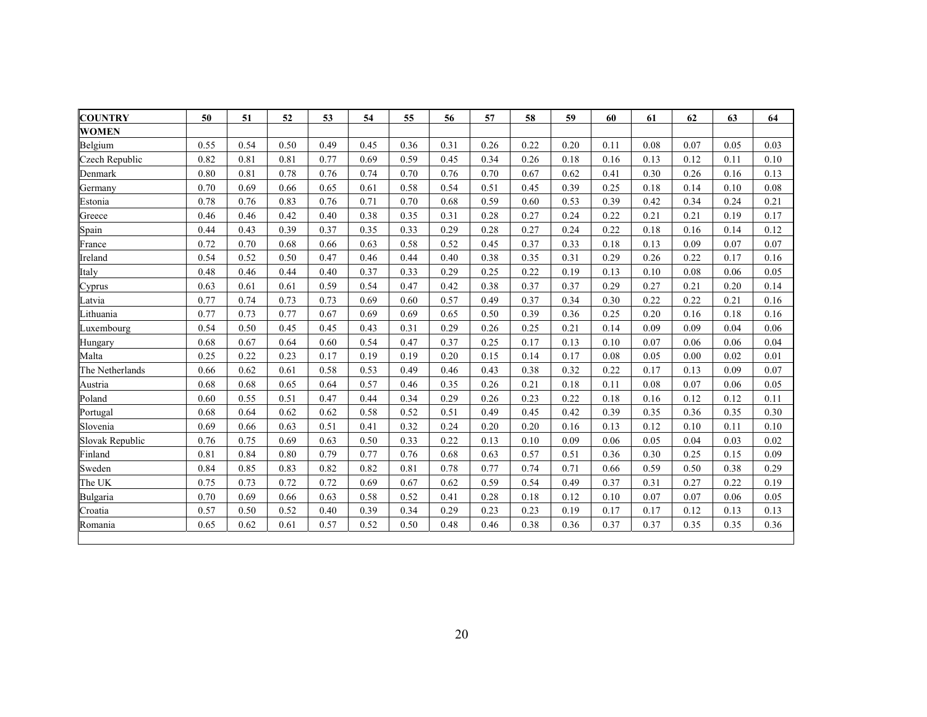| <b>COUNTRY</b>  | 50   | 51   | 52   | 53   | 54   | 55   | 56   | 57   | 58   | 59   | 60   | 61   | 62   | 63   | 64   |
|-----------------|------|------|------|------|------|------|------|------|------|------|------|------|------|------|------|
| <b>WOMEN</b>    |      |      |      |      |      |      |      |      |      |      |      |      |      |      |      |
| Belgium         | 0.55 | 0.54 | 0.50 | 0.49 | 0.45 | 0.36 | 0.31 | 0.26 | 0.22 | 0.20 | 0.11 | 0.08 | 0.07 | 0.05 | 0.03 |
| Czech Republic  | 0.82 | 0.81 | 0.81 | 0.77 | 0.69 | 0.59 | 0.45 | 0.34 | 0.26 | 0.18 | 0.16 | 0.13 | 0.12 | 0.11 | 0.10 |
| Denmark         | 0.80 | 0.81 | 0.78 | 0.76 | 0.74 | 0.70 | 0.76 | 0.70 | 0.67 | 0.62 | 0.41 | 0.30 | 0.26 | 0.16 | 0.13 |
| Germany         | 0.70 | 0.69 | 0.66 | 0.65 | 0.61 | 0.58 | 0.54 | 0.51 | 0.45 | 0.39 | 0.25 | 0.18 | 0.14 | 0.10 | 0.08 |
| Estonia         | 0.78 | 0.76 | 0.83 | 0.76 | 0.71 | 0.70 | 0.68 | 0.59 | 0.60 | 0.53 | 0.39 | 0.42 | 0.34 | 0.24 | 0.21 |
| Greece          | 0.46 | 0.46 | 0.42 | 0.40 | 0.38 | 0.35 | 0.31 | 0.28 | 0.27 | 0.24 | 0.22 | 0.21 | 0.21 | 0.19 | 0.17 |
| Spain           | 0.44 | 0.43 | 0.39 | 0.37 | 0.35 | 0.33 | 0.29 | 0.28 | 0.27 | 0.24 | 0.22 | 0.18 | 0.16 | 0.14 | 0.12 |
| France          | 0.72 | 0.70 | 0.68 | 0.66 | 0.63 | 0.58 | 0.52 | 0.45 | 0.37 | 0.33 | 0.18 | 0.13 | 0.09 | 0.07 | 0.07 |
| Ireland         | 0.54 | 0.52 | 0.50 | 0.47 | 0.46 | 0.44 | 0.40 | 0.38 | 0.35 | 0.31 | 0.29 | 0.26 | 0.22 | 0.17 | 0.16 |
| Italy           | 0.48 | 0.46 | 0.44 | 0.40 | 0.37 | 0.33 | 0.29 | 0.25 | 0.22 | 0.19 | 0.13 | 0.10 | 0.08 | 0.06 | 0.05 |
| Cyprus          | 0.63 | 0.61 | 0.61 | 0.59 | 0.54 | 0.47 | 0.42 | 0.38 | 0.37 | 0.37 | 0.29 | 0.27 | 0.21 | 0.20 | 0.14 |
| Latvia          | 0.77 | 0.74 | 0.73 | 0.73 | 0.69 | 0.60 | 0.57 | 0.49 | 0.37 | 0.34 | 0.30 | 0.22 | 0.22 | 0.21 | 0.16 |
| Lithuania       | 0.77 | 0.73 | 0.77 | 0.67 | 0.69 | 0.69 | 0.65 | 0.50 | 0.39 | 0.36 | 0.25 | 0.20 | 0.16 | 0.18 | 0.16 |
| Luxembourg      | 0.54 | 0.50 | 0.45 | 0.45 | 0.43 | 0.31 | 0.29 | 0.26 | 0.25 | 0.21 | 0.14 | 0.09 | 0.09 | 0.04 | 0.06 |
| Hungary         | 0.68 | 0.67 | 0.64 | 0.60 | 0.54 | 0.47 | 0.37 | 0.25 | 0.17 | 0.13 | 0.10 | 0.07 | 0.06 | 0.06 | 0.04 |
| Malta           | 0.25 | 0.22 | 0.23 | 0.17 | 0.19 | 0.19 | 0.20 | 0.15 | 0.14 | 0.17 | 0.08 | 0.05 | 0.00 | 0.02 | 0.01 |
| The Netherlands | 0.66 | 0.62 | 0.61 | 0.58 | 0.53 | 0.49 | 0.46 | 0.43 | 0.38 | 0.32 | 0.22 | 0.17 | 0.13 | 0.09 | 0.07 |
| Austria         | 0.68 | 0.68 | 0.65 | 0.64 | 0.57 | 0.46 | 0.35 | 0.26 | 0.21 | 0.18 | 0.11 | 0.08 | 0.07 | 0.06 | 0.05 |
| Poland          | 0.60 | 0.55 | 0.51 | 0.47 | 0.44 | 0.34 | 0.29 | 0.26 | 0.23 | 0.22 | 0.18 | 0.16 | 0.12 | 0.12 | 0.11 |
| Portugal        | 0.68 | 0.64 | 0.62 | 0.62 | 0.58 | 0.52 | 0.51 | 0.49 | 0.45 | 0.42 | 0.39 | 0.35 | 0.36 | 0.35 | 0.30 |
| Slovenia        | 0.69 | 0.66 | 0.63 | 0.51 | 0.41 | 0.32 | 0.24 | 0.20 | 0.20 | 0.16 | 0.13 | 0.12 | 0.10 | 0.11 | 0.10 |
| Slovak Republic | 0.76 | 0.75 | 0.69 | 0.63 | 0.50 | 0.33 | 0.22 | 0.13 | 0.10 | 0.09 | 0.06 | 0.05 | 0.04 | 0.03 | 0.02 |
| Finland         | 0.81 | 0.84 | 0.80 | 0.79 | 0.77 | 0.76 | 0.68 | 0.63 | 0.57 | 0.51 | 0.36 | 0.30 | 0.25 | 0.15 | 0.09 |
| Sweden          | 0.84 | 0.85 | 0.83 | 0.82 | 0.82 | 0.81 | 0.78 | 0.77 | 0.74 | 0.71 | 0.66 | 0.59 | 0.50 | 0.38 | 0.29 |
| The UK          | 0.75 | 0.73 | 0.72 | 0.72 | 0.69 | 0.67 | 0.62 | 0.59 | 0.54 | 0.49 | 0.37 | 0.31 | 0.27 | 0.22 | 0.19 |
| Bulgaria        | 0.70 | 0.69 | 0.66 | 0.63 | 0.58 | 0.52 | 0.41 | 0.28 | 0.18 | 0.12 | 0.10 | 0.07 | 0.07 | 0.06 | 0.05 |
| Croatia         | 0.57 | 0.50 | 0.52 | 0.40 | 0.39 | 0.34 | 0.29 | 0.23 | 0.23 | 0.19 | 0.17 | 0.17 | 0.12 | 0.13 | 0.13 |
| Romania         | 0.65 | 0.62 | 0.61 | 0.57 | 0.52 | 0.50 | 0.48 | 0.46 | 0.38 | 0.36 | 0.37 | 0.37 | 0.35 | 0.35 | 0.36 |
|                 |      |      |      |      |      |      |      |      |      |      |      |      |      |      |      |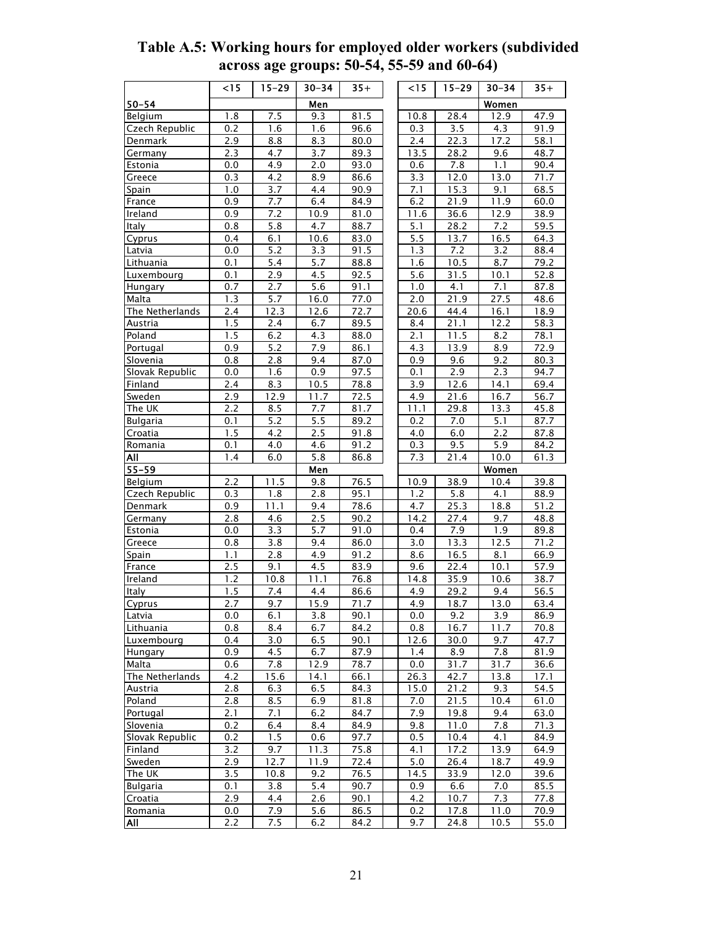|                     | $<$ 15     | $15 - 29$  | $30 - 34$        | $35+$        | < 15       | $15 - 29$    | $30 - 34$    | $\overline{35}$ + |
|---------------------|------------|------------|------------------|--------------|------------|--------------|--------------|-------------------|
| 50–54               |            |            | Men              |              |            |              | Women        |                   |
| Belgium             | 1.8        | 7.5        | 9.3              | 81.5         | 10.8       | 28.4         | 12.9         | 47.9              |
| Czech Republic      | 0.2        | 1.6        | 1.6              | 96.6         | 0.3        | 3.5          | 4.3          | 91.9              |
| Denmark             | 2.9        | 8.8        | 8.3              | 80.0         | 2.4        | 22.3         | 17.2         | 58.1              |
| Germany             | 2.3        | 4.7        | 3.7              | 89.3         | 13.5       | 28.2         | 9.6          | 48.7              |
| Estonia             | 0.0        | 4.9        | 2.0              | 93.0         | 0.6        | 7.8          | 1.1          | 90.4              |
| Greece              | 0.3        | 4.2        | 8.9              | 86.6         | 3.3        | 12.0         | 13.0         | 71.7              |
| <b>Spain</b>        | 1.0        | 3.7        | 4.4              | 90.9         | 7.1        | 15.3         | 9.1          | 68.5              |
| France              | 0.9        | 7.7        | 6.4              | 84.9         | 6.2        | 21.9         | 11.9         | 60.0              |
| Ireland             | 0.9        | 7.2        | 10.9             | 81.0         | 11.6       | 36.6         | 12.9         | 38.9              |
| Italy               | 0.8        | 5.8        | 4.7              | 88.7         | 5.1        | 28.2         | 7.2          | 59.5              |
| Cyprus              | 0.4        | 6.1        | 10.6             | 83.0         | 5.5        | 13.7         | 16.5         | 64.3              |
| Latvia              | 0.0        | 5.2        | 3.3              | 91.5         | 1.3        | 7.2          | 3.2          | 88.4              |
| Lithuania           | 0.1        | 5.4        | 5.7              | 88.8         | 1.6        | 10.5         | 8.7          | 79.2              |
| Luxembourg          | 0.1        | <u>2.9</u> | 4.5              | 92.5         | 5.6        | 31.5         | 10.1         | 52.8              |
| Hungary             | 0.7        | 2.7        | 5.6              | 91.1         | 1.0        | 4.1          | 7.1          | 87.8              |
| Malta               | 1.3        | 5.7        | 16.0             | 77.0         | 2.0        | 21.9         | 27.5         | 48.6              |
| The Netherlands     | 2.4        | 12.3       | 12.6             | 72.7         | 20.6       | 44.4         | 16.1         | 18.9              |
| Austria             | 1.5<br>1.5 | 2.4<br>6.2 | 6.7<br>4.3       | 89.5<br>88.0 | 8.4<br>2.1 | 21.1<br>11.5 | 12.2<br>8.2  | 58.3<br>78.1      |
| Poland<br>Portugal  | 0.9        | 5.2        | 7.9              | 86.1         | 4.3        | 13.9         | 8.9          | 72.9              |
| Slovenia            | 0.8        | 2.8        | 9.4              | 87.0         | 0.9        | 9.6          | 9.2          | 80.3              |
| Slovak Republic     | 0.0        | 1.6        | 0.9              | 97.5         | 0.1        | 2.9          | 2.3          | 94.7              |
| Finland             | 2.4        | 8.3        | 10.5             | 78.8         | 3.9        | 12.6         | 14.1         | 69.4              |
| Sweden              | 2.9        | 12.9       | 11.7             | 72.5         | 4.9        | 21.6         | 16.7         | 56.7              |
| The UK              | 2.2        | 8.5        | 7.7              | 81.7         | 11.1       | 29.8         | 13.3         | 45.8              |
| <b>Bulgaria</b>     | 0.1        | 5.2        | 5.5              | 89.2         | 0.2        | 7.0          | 5.1          | 87.7              |
| Croatia             | 1.5        | 4.2        | 2.5              | 91.8         | 4.0        | 6.0          | 2.2          | 87.8              |
| Romania             | 0.1        | 4.0        | 4.6              | 91.2         | 0.3        | 9.5          | 5.9          | 84.2              |
| All                 | 1.4        | 6.0        | 5.8              | 86.8         | 7.3        | 21.4         | 10.0         | 61.3              |
| $55 - 59$           |            |            | Men              |              |            |              | <b>Women</b> |                   |
| Belgium             | 2.2        | 11.5       | 9.8              | 76.5         | 10.9       | 38.9         | 10.4         | 39.8              |
| Czech Republic      | 0.3        | 1.8        | 2.8              | 95.1         | 1.2        | 5.8          | 4.1          | 88.9              |
| Denmark             | 0.9        | 11.1       | 9.4              | 78.6         | 4.7        | 25.3         | 18.8         | 51.2              |
| Germany             | 2.8        | 4.6        | 2.5              | 90.2         | 14.2       | 27.4         | 9.7          | 48.8              |
| Estonia             | 0.0        | 3.3        | 5.7              | 91.0         | 0.4        | 7.9          | 1.9          | 89.8              |
| Greece              | 0.8        | 3.8        | 9.4              | 86.0         | 3.0        | 13.3         | 12.5         | 71.2              |
| <b>Spain</b>        | 1.1        | 2.8        | 4.9              | 91.2         | 8.6        | 16.5         | 8.1          | 66.9              |
| France              | 2.5        | 9.1        | 4.5              | 83.9         | 9.6        | 22.4         | 10.1         | 57.9              |
| Ireland             | 1.2        | 10.8       | 11.1             | 76.8         | 14.8       | 35.9         | 10.6         | 38.7              |
| Italy               | 1.5        | 7.4        | 4.4              | 86.6         | 4.9<br>4.9 | 29.2         | 9.4<br>13.0  | 56.5              |
| <b>Cyprus</b>       | 2.7        | 9.7<br>6.1 | 15.9<br>3.8      | 71.7<br>90.1 |            | 18.7<br>9.2  |              | 63.4<br>86.9      |
| Latvia<br>Lithuania | 0.0<br>0.8 | 8.4        | 6.7              | 84.2         | 0.0<br>0.8 | 16.7         | 3.9<br>11.7  | 70.8              |
| Luxembourg          | 0.4        | 3.0        | 6.5              | 90.1         | 12.6       | 30.0         | 9.7          | 47.7              |
| Hungary             | 0.9        | 4.5        | 6.7              | 87.9         | 1.4        | 8.9          | 7.8          | 81.9              |
| Malta               | 0.6        | 7.8        | 12.9             | 78.7         | 0.0        | 31.7         | 31.7         | 36.6              |
| The Netherlands     | 4.2        | 15.6       | 14.1             | 66.1         | 26.3       | 42.7         | 13.8         | 17.1              |
| Austria             | 2.8        | 6.3        | 6.5              | 84.3         | 15.0       | 21.2         | 9.3          | 54.5              |
| Poland              | 2.8        | 8.5        | 6.9              | 81.8         | 7.0        | 21.5         | 10.4         | 61.0              |
| Portugal            | 2.1        | 7.1        | 6.2              | 84.7         | 7.9        | 19.8         | 9.4          | 63.0              |
| Slovenia            | 0.2        | 6.4        | 8.4              | 84.9         | 9.8        | 11.0         | 7.8          | 71.3              |
| Slovak Republic     | 0.2        | 1.5        | 0.6              | 97.7         | 0.5        | 10.4         | 4.1          | 84.9              |
| Finland             | 3.2        | 9.7        | 11.3             | 75.8         | 4.1        | 17.2         | 13.9         | 64.9              |
| Sweden              | 2.9        | 12.7       | 11.9             | 72.4         | 5.0        | 26.4         | 18.7         | 49.9              |
| The UK              | 3.5        | 10.8       | 9.2              | 76.5         | 14.5       | 33.9         | 12.0         | 39.6              |
| <b>Bulgaria</b>     | 0.1        | 3.8        | 5.4              | 90.7         | 0.9        | 6.6          | 7.0          | 85.5              |
| Croatia             | 2.9        | 4.4        | 2.6              | 90.1         | 4.2        | 10.7         | 7.3          | 77.8              |
| Romania             | 0.0        | 7.9        | $\overline{5.6}$ | 86.5         | 0.2        | 17.8         | 11.0         | 70.9              |
| All                 | 2.2        | 7.5        | 6.2              | 84.2         | 9.7        | 24.8         | 10.5         | 55.0              |

**Table A.5: Working hours for employed older workers (subdivided across age groups: 50-54, 55-59 and 60-64)**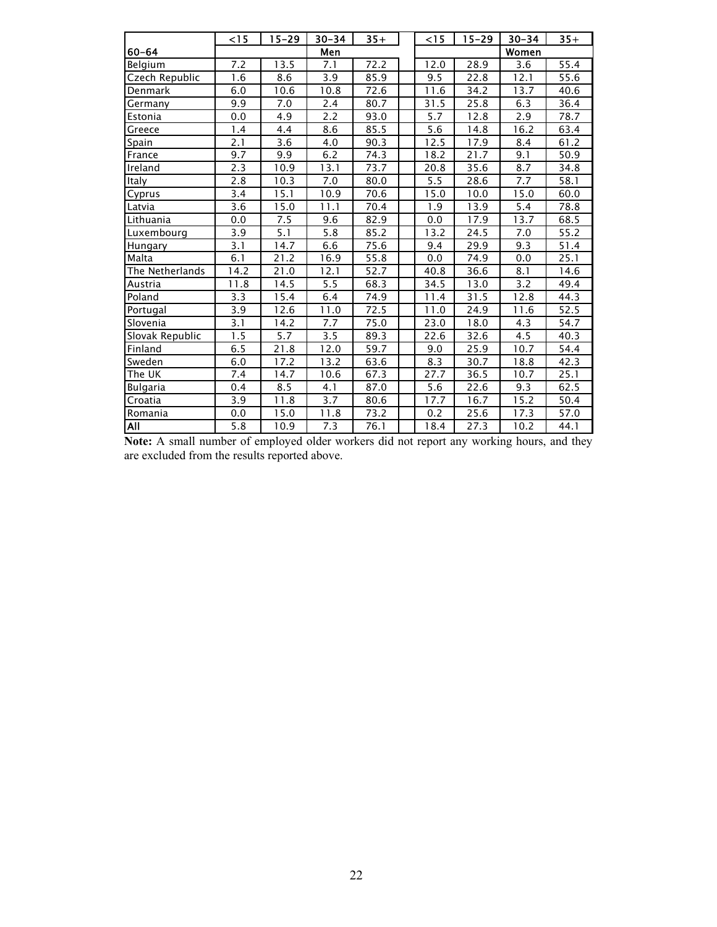|                 | $<$ 15 | $15 - 29$          | $30 - 34$ | $35+$ | $<$ 15           | $15 - 29$ | $30 - 34$ | $35+$ |
|-----------------|--------|--------------------|-----------|-------|------------------|-----------|-----------|-------|
| $60 - 64$       |        |                    | Men       |       |                  |           | Women     |       |
| Belgium         | 7.2    | 13.5               | 7.1       | 72.2  | 12.0             | 28.9      | 3.6       | 55.4  |
| Czech Republic  | 1.6    | 8.6                | 3.9       | 85.9  | 9.5              | 22.8      | 12.1      | 55.6  |
| Denmark         | 6.0    | 10.6               | 10.8      | 72.6  | 11.6             | 34.2      | 13.7      | 40.6  |
| Germany         | 9.9    | 7.0                | 2.4       | 80.7  | 31.5             | 25.8      | 6.3       | 36.4  |
| Estonia         | 0.0    | 4.9                | 2.2       | 93.0  | 5.7              | 12.8      | 2.9       | 78.7  |
| Greece          | 1.4    | 4.4                | 8.6       | 85.5  | $\overline{5.6}$ | 14.8      | 16.2      | 63.4  |
| Spain           | 2.1    | 3.6                | 4.0       | 90.3  | 12.5             | 17.9      | 8.4       | 61.2  |
| France          | 9.7    | 9.9                | 6.2       | 74.3  | 18.2             | 21.7      | 9.1       | 50.9  |
| Ireland         | 2.3    | 10.9               | 13.1      | 73.7  | 20.8             | 35.6      | 8.7       | 34.8  |
| Italy           | 2.8    | 10.3               | 7.0       | 80.0  | 5.5              | 28.6      | 7.7       | 58.1  |
| Cyprus          | 3.4    | 15.1               | 10.9      | 70.6  | 15.0             | 10.0      | 15.0      | 60.0  |
| Latvia          | 3.6    | 15.0               | 11.1      | 70.4  | 1.9              | 13.9      | 5.4       | 78.8  |
| Lithuania       | 0.0    | 7.5                | 9.6       | 82.9  | 0.0              | 17.9      | 13.7      | 68.5  |
| Luxembourg      | 3.9    | 5.1                | 5.8       | 85.2  | 13.2             | 24.5      | 7.0       | 55.2  |
| Hungary         | 3.1    | 14.7               | 6.6       | 75.6  | 9.4              | 29.9      | 9.3       | 51.4  |
| Malta           | 6.1    | 21.2               | 16.9      | 55.8  | 0.0              | 74.9      | 0.0       | 25.1  |
| The Netherlands | 14.2   | 21.0               | 12.1      | 52.7  | 40.8             | 36.6      | 8.1       | 14.6  |
| Austria         | 11.8   | 14.5               | 5.5       | 68.3  | 34.5             | 13.0      | 3.2       | 49.4  |
| Poland          | 3.3    | $\overline{1}$ 5.4 | 6.4       | 74.9  | 11.4             | 31.5      | 12.8      | 44.3  |
| Portugal        | 3.9    | 12.6               | 11.0      | 72.5  | 11.0             | 24.9      | 11.6      | 52.5  |
| Slovenia        | 3.1    | 14.2               | 7.7       | 75.0  | 23.0             | 18.0      | 4.3       | 54.7  |
| Slovak Republic | 1.5    | 5.7                | 3.5       | 89.3  | 22.6             | 32.6      | 4.5       | 40.3  |
| Finland         | 6.5    | 21.8               | 12.0      | 59.7  | 9.0              | 25.9      | 10.7      | 54.4  |
| Sweden          | 6.0    | 17.2               | 13.2      | 63.6  | 8.3              | 30.7      | 18.8      | 42.3  |
| The UK          | 7.4    | 14.7               | 10.6      | 67.3  | 27.7             | 36.5      | 10.7      | 25.1  |
| <b>Bulgaria</b> | 0.4    | 8.5                | 4.1       | 87.0  | 5.6              | 22.6      | 9.3       | 62.5  |
| Croatia         | 3.9    | 11.8               | 3.7       | 80.6  | 17.7             | 16.7      | 15.2      | 50.4  |
| Romania         | 0.0    | 15.0               | 11.8      | 73.2  | 0.2              | 25.6      | 17.3      | 57.0  |
| AlĪ             | 5.8    | 10.9               | 7.3       | 76.1  | 18.4             | 27.3      | 10.2      | 44.1  |

**Note:** A small number of employed older workers did not report any working hours, and they are excluded from the results reported above.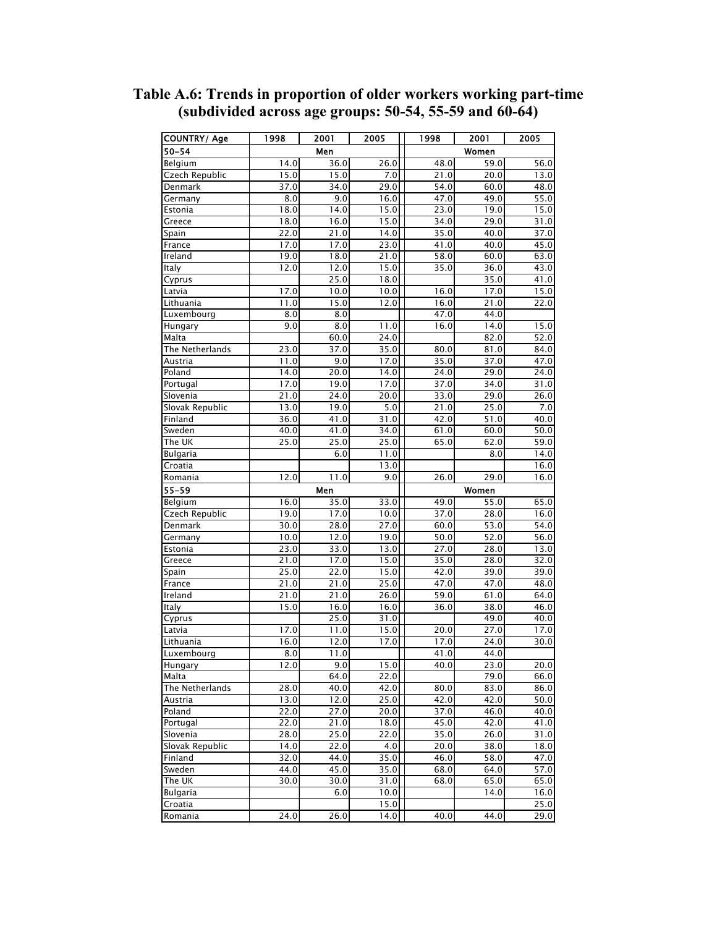| <b>COUNTRY/ Age</b> | 1998 | 2001 | 2005         | 1998 | 2001  | 2005         |
|---------------------|------|------|--------------|------|-------|--------------|
| $50 - 54$           |      | Men  |              |      | Women |              |
| Belgium             | 14.0 | 36.0 | 26.0         | 48.0 | 59.0  | 56.0         |
| Czech Republic      | 15.0 | 15.0 | 7.0          | 21.0 | 20.0  | 13.0         |
| Denmark             | 37.0 | 34.0 | 29.0         | 54.0 | 60.0  | 48.0         |
| Germany             | 8.0  | 9.0  | 16.0         | 47.0 | 49.0  | 55.0         |
| Estonia             | 18.0 | 14.0 | 15.0         | 23.0 | 19.0  | 15.0         |
| Greece              | 18.0 | 16.0 | 15.0         | 34.0 | 29.0  | 31.0         |
| Spain               | 22.0 | 21.0 | 14.0         | 35.0 | 40.0  | 37.0         |
| France              | 17.0 | 17.0 | 23.0         | 41.0 | 40.0  | 45.0         |
| Ireland             | 19.0 | 18.0 | 21.0         | 58.0 | 60.0  | 63.0         |
| Italy               | 12.0 | 12.0 | 15.0         | 35.0 | 36.0  | 43.0         |
| Cyprus              |      | 25.0 | 18.0         |      | 35.0  | 41.0         |
| Latvia              | 17.0 | 10.0 | 10.0         | 16.0 | 17.0  | 15.0         |
| Lithuania           | 11.0 | 15.0 | 12.0         | 16.0 | 21.0  | 22.0         |
| Luxembourg          | 8.0  | 8.0  |              | 47.0 | 44.0  |              |
| Hungary             | 9.0  | 8.0  | 11.0         | 16.0 | 14.0  | 15.0         |
| Malta               |      | 60.0 | 24.0         |      | 82.0  | 52.0         |
| The Netherlands     | 23.0 | 37.0 | 35.0         | 80.0 | 81.0  | 84.0         |
| Austria             | 11.0 | 9.0  | 17.0         | 35.0 | 37.0  | 47.0         |
| Poland              | 14.0 | 20.0 | 14.0         | 24.0 | 29.0  | 24.0         |
| Portugal            | 17.0 | 19.0 | 17.0         | 37.0 | 34.0  | 31.0         |
| Slovenia            | 21.0 | 24.0 | 20.0         | 33.0 | 29.0  | 26.0         |
| Slovak Republic     | 13.0 | 19.0 | 5.0          | 21.0 | 25.0  | 7.0          |
| Finland             | 36.0 | 41.0 | 31.0         | 42.0 | 51.0  | 40.0         |
| Sweden              | 40.0 | 41.0 | 34.0         | 61.0 | 60.0  | 50.0         |
| The UK              | 25.0 | 25.0 | 25.0         | 65.0 | 62.0  | 59.0         |
| <b>Bulgaria</b>     |      | 6.0  | 11.0         |      | 8.0   | 14.0         |
| Croatia             |      |      | 13.0         |      |       | 16.0         |
| Romania             | 12.0 | 11.0 | 9.0          | 26.0 | 29.0  | 16.0         |
| $55 - 59$           |      | Men  |              |      | Women |              |
| Belgium             | 16.0 | 35.0 | 33.0         | 49.0 | 55.0  | 65.0         |
| Czech Republic      | 19.0 | 17.0 | 10.0         | 37.0 | 28.0  | 16.0         |
| Denmark             | 30.0 | 28.0 | 27.0         | 60.0 | 53.0  | 54.0         |
| Germany             | 10.0 | 12.0 | 19.0         | 50.0 | 52.0  | 56.0         |
| Estonia             | 23.0 | 33.0 | 13.0         | 27.0 | 28.0  | 13.0         |
| Greece              | 21.0 | 17.0 | 15.0         | 35.0 | 28.0  | 32.0         |
| Spain               | 25.0 | 22.0 | 15.0         | 42.0 | 39.0  | 39.0         |
| France              | 21.0 | 21.0 | 25.0         | 47.0 | 47.0  | 48.0         |
| Ireland             | 21.0 | 21.0 | 26.0         | 59.0 | 61.0  | 64.0         |
| Italy               | 15.0 | 16.0 | 16.0         | 36.0 | 38.0  | 46.0         |
| Cyprus              |      | 25.0 | 31.0         |      | 49.0  | 40.0         |
| Latvia              | 17.0 | 11.0 | 15.0         | 20.0 | 27.0  | 17.0         |
| Lithuania           | 16.0 | 12.0 | 17.0         | 17.0 | 24.0  | 30.0         |
| Luxembourg          | 8.0  | 11.0 |              | 41.0 | 44.0  |              |
| Hungary             | 12.0 | 9.0  | 15.0         | 40.0 | 23.0  | 20.0         |
| Malta               |      | 64.0 | 22.0         |      | 79.0  | 66.0         |
| The Netherlands     | 28.0 | 40.0 | 42.0         | 80.0 | 83.0  | 86.0         |
| Austria             | 13.0 | 12.0 | 25.0         | 42.0 | 42.0  | 50.0         |
| Poland              | 22.0 | 27.0 | 20.0         | 37.0 | 46.0  | 40.0         |
| Portugal            | 22.0 | 21.0 | 18.0         | 45.0 | 42.0  | 41.0         |
| Slovenia            | 28.0 | 25.0 | 22.0         | 35.0 | 26.0  | 31.0         |
| Slovak Republic     | 14.0 | 22.0 | 4.0          | 20.0 | 38.0  | 18.0         |
| Finland             | 32.0 | 44.0 | 35.0         | 46.0 | 58.0  | 47.0         |
| Sweden              | 44.0 | 45.0 | 35.0         | 68.0 | 64.0  | 57.0         |
| The UK              | 30.0 | 30.0 | 31.0         | 68.0 | 65.0  | 65.0         |
| <b>Bulgaria</b>     |      | 6.0  | 10.0         |      | 14.0  | 16.0         |
|                     |      |      |              |      |       |              |
| Croatia<br>Romania  | 24.0 | 26.0 | 15.0<br>14.0 | 40.0 | 44.0  | 25.0<br>29.0 |
|                     |      |      |              |      |       |              |

**Table A.6: Trends in proportion of older workers working part-time (subdivided across age groups: 50-54, 55-59 and 60-64)**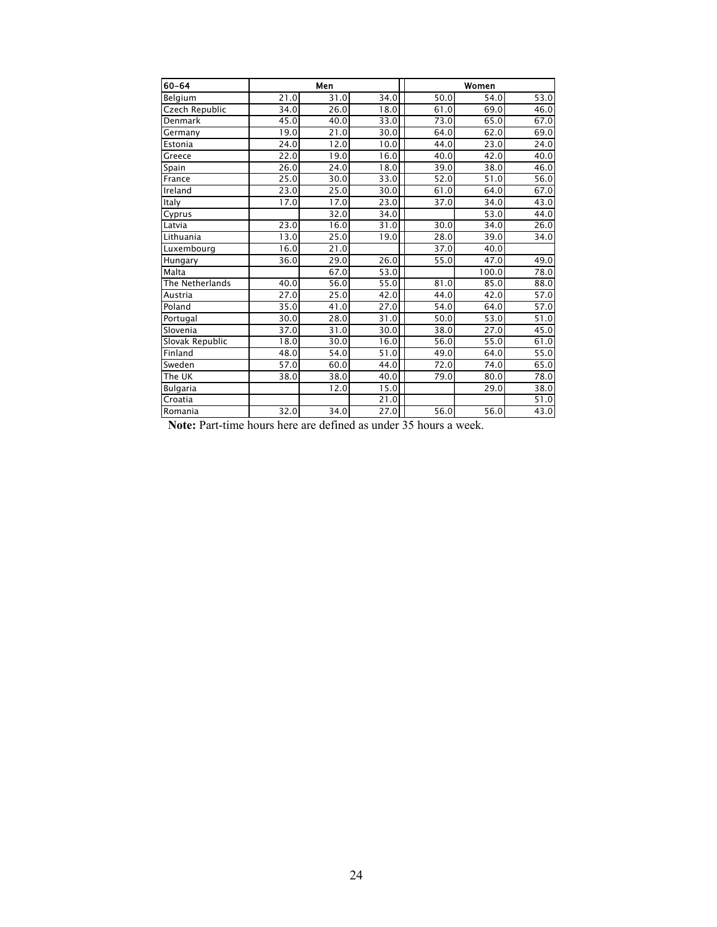| 60-64           |      | Men                |                   |                   | Women |      |  |  |  |
|-----------------|------|--------------------|-------------------|-------------------|-------|------|--|--|--|
| Belgium         | 21.0 | 31.0               | 34.0              | 50.0              | 54.0  | 53.0 |  |  |  |
| Czech Republic  | 34.0 | 26.0               | 18.0              | 61.0              | 69.0  | 46.0 |  |  |  |
| Denmark         | 45.0 | 40.0               | 33.0              | 73.0              | 65.0  | 67.0 |  |  |  |
| Germany         | 19.0 | 21.0               | 30.0              | 64.0              | 62.0  | 69.0 |  |  |  |
| Estonia         | 24.0 | 12.0               | 10.0              | 44.0              | 23.0  | 24.0 |  |  |  |
| Greece          | 22.0 | 19.0               | 16.0              | 40.0              | 42.0  | 40.0 |  |  |  |
| Spain           | 26.0 | 24.0               | 18.0              | 39.0              | 38.0  | 46.0 |  |  |  |
| France          | 25.0 | 30.0               | 33.0              | 52.0              | 51.0  | 56.0 |  |  |  |
| Ireland         | 23.0 | 25.0               | 30.0              | 61.0              | 64.0  | 67.0 |  |  |  |
| Italy           | 17.0 | 17.0               | 23.0              | 37.0              | 34.0  | 43.0 |  |  |  |
| Cyprus          |      | 32.0               | 34.0              |                   | 53.0  | 44.0 |  |  |  |
| Latvia          | 23.0 | 16.0               | 31.0              | 30.0              | 34.0  | 26.0 |  |  |  |
| Lithuania       | 13.0 | 25.0               | 19.0              | 28.0              | 39.0  | 34.0 |  |  |  |
| Luxembourg      | 16.0 | 21.0               |                   | 37.0              | 40.0  |      |  |  |  |
| Hungary         | 36.0 | 29.0               | 26.0              | 55.0              | 47.0  | 49.0 |  |  |  |
| Malta           |      | 67.0               | 53.0              |                   | 100.0 | 78.0 |  |  |  |
| The Netherlands | 40.0 | 56.0               | $\overline{5}5.0$ | 81.0              | 85.0  | 88.0 |  |  |  |
| Austria         | 27.0 | 25.0               | 42.0              | 44.0              | 42.0  | 57.0 |  |  |  |
| Poland          | 35.0 | 41.0               | 27.0              | 54.0              | 64.0  | 57.0 |  |  |  |
| Portugal        | 30.0 | 28.0               | 31.0              | 50.0              | 53.0  | 51.0 |  |  |  |
| Slovenia        | 37.0 | 31.0               | 30.0              | 38.0              | 27.0  | 45.0 |  |  |  |
| Slovak Republic | 18.0 | 30.0               | 16.0              | 56.0              | 55.0  | 61.0 |  |  |  |
| Finland         | 48.0 | 54.0               | 51.0              | 49.0              | 64.0  | 55.0 |  |  |  |
| Sweden          | 57.0 | 60.0               | 44.0              | 72.0              | 74.0  | 65.0 |  |  |  |
| The UK          | 38.0 | 38.0               | 40.0              | 79.0              | 80.0  | 78.0 |  |  |  |
| <b>Bulgaria</b> |      | $\overline{1}$ 2.0 | 15.0              |                   | 29.0  | 38.0 |  |  |  |
| Croatia         |      |                    | 21.0              |                   |       | 51.0 |  |  |  |
| Romania         | 32.0 | 34.0               | 27.0              | $\overline{56.0}$ | 56.0  | 43.0 |  |  |  |

**Note:** Part-time hours here are defined as under 35 hours a week.